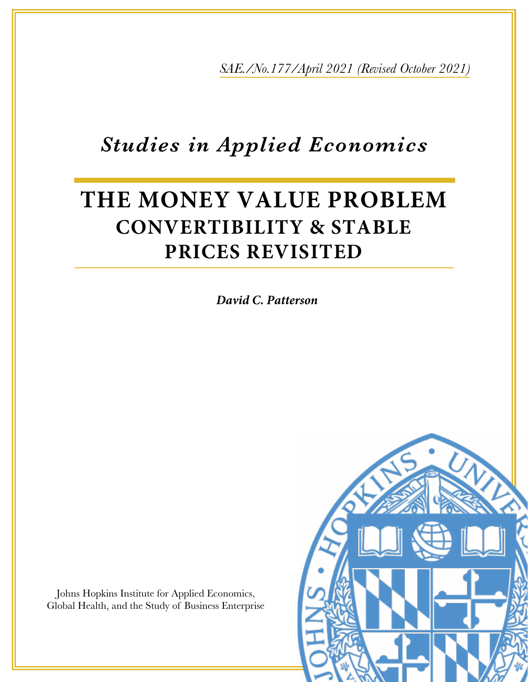*SAE./No.177/April 2021 (Revised October 2021)*

## *Studies in Applied Economics*

# **THE MONEY VALUE PROBLEM CONVERTIBILITY & STABLE PRICES REVISITED**

*David C. Patterson*

Johns Hopkins Institute for Applied Economics, Global Health, and the Study of Business Enterprise

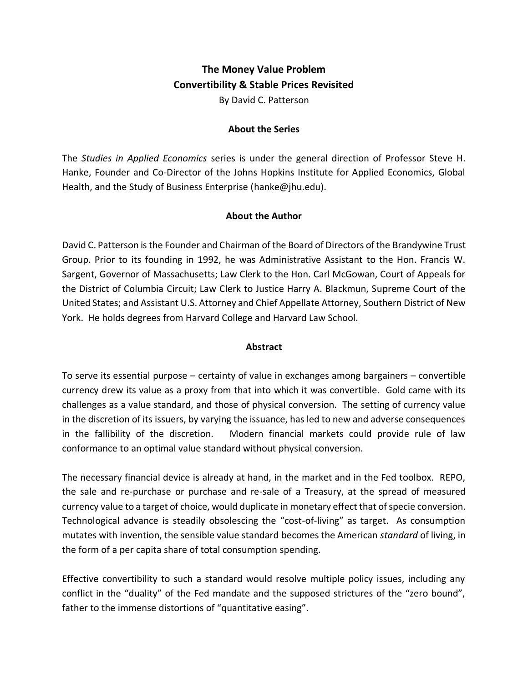### **The Money Value Problem Convertibility & Stable Prices Revisited**

By David C. Patterson

#### **About the Series**

The *Studies in Applied Economics* series is under the general direction of Professor Steve H. Hanke, Founder and Co-Director of the Johns Hopkins Institute for Applied Economics, Global Health, and the Study of Business Enterprise [\(hanke@jhu.edu\)](mailto:hanke@jhu.edu).

#### **About the Author**

David C. Patterson is the Founder and Chairman of the Board of Directors of th[e Brandywine Trust](http://brandywinetrust.com/)  [Group.](http://brandywinetrust.com/) Prior to its founding in 1992, he was Administrative Assistant to the Hon. Francis W. Sargent, Governor of Massachusetts; Law Clerk to the Hon. Carl McGowan, Court of Appeals for the District of Columbia Circuit; Law Clerk to Justice Harry A. Blackmun, Supreme Court of the United States; and Assistant U.S. Attorney and Chief Appellate Attorney, Southern District of New York. He holds degrees from Harvard College and Harvard Law School.

#### **Abstract**

To serve its essential purpose – certainty of value in exchanges among bargainers – convertible currency drew its value as a proxy from that into which it was convertible. Gold came with its challenges as a value standard, and those of physical conversion. The setting of currency value in the discretion of its issuers, by varying the issuance, has led to new and adverse consequences in the fallibility of the discretion. Modern financial markets could provide rule of law conformance to an optimal value standard without physical conversion.

The necessary financial device is already at hand, in the market and in the Fed toolbox. REPO, the sale and re-purchase or purchase and re-sale of a Treasury, at the spread of measured currency value to a target of choice, would duplicate in monetary effect that of specie conversion. Technological advance is steadily obsolescing the "cost-of-living" as target. As consumption mutates with invention, the sensible value standard becomes the American *standard* of living, in the form of a per capita share of total consumption spending.

Effective convertibility to such a standard would resolve multiple policy issues, including any conflict in the "duality" of the Fed mandate and the supposed strictures of the "zero bound", father to the immense distortions of "quantitative easing".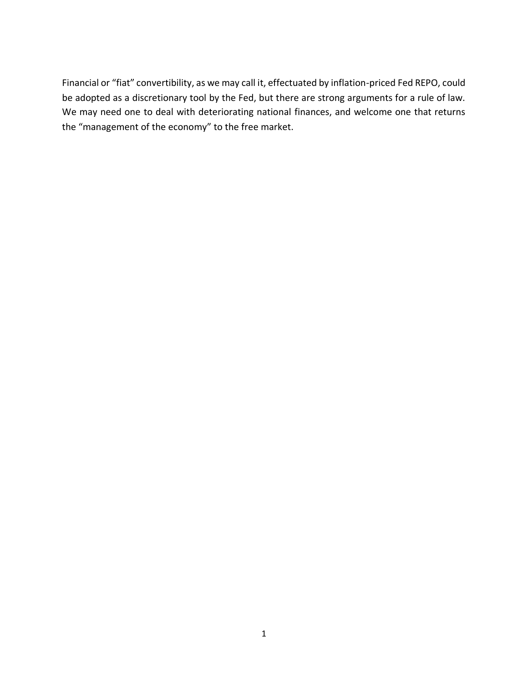Financial or "fiat" convertibility, as we may call it, effectuated by inflation-priced Fed REPO, could be adopted as a discretionary tool by the Fed, but there are strong arguments for a rule of law. We may need one to deal with deteriorating national finances, and welcome one that returns the "management of the economy" to the free market.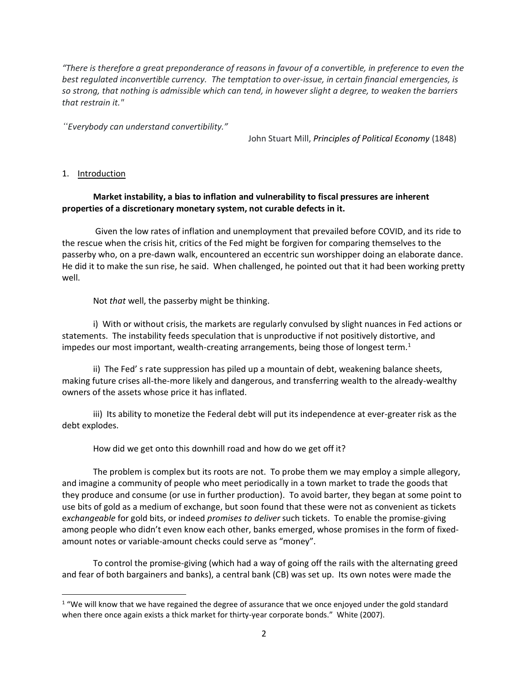*"There is therefore a great preponderance of reasons in favour of a convertible, in preference to even the best regulated inconvertible currency. The temptation to over-issue, in certain financial emergencies, is so strong, that nothing is admissible which can tend, in however slight a degree, to weaken the barriers that restrain it."*

*"Everybody can understand convertibility."* 

John Stuart Mill, *Principles of Political Economy* (1848)

1. Introduction

#### **Market instability, a bias to inflation and vulnerability to fiscal pressures are inherent properties of a discretionary monetary system, not curable defects in it.**

Given the low rates of inflation and unemployment that prevailed before COVID, and its ride to the rescue when the crisis hit, critics of the Fed might be forgiven for comparing themselves to the passerby who, on a pre-dawn walk, encountered an eccentric sun worshipper doing an elaborate dance. He did it to make the sun rise, he said. When challenged, he pointed out that it had been working pretty well.

Not *that* well, the passerby might be thinking.

i) With or without crisis, the markets are regularly convulsed by slight nuances in Fed actions or statements. The instability feeds speculation that is unproductive if not positively distortive, and impedes our most important, wealth-creating arrangements, being those of longest term.<sup>1</sup>

ii) The Fed' s rate suppression has piled up a mountain of debt, weakening balance sheets, making future crises all-the-more likely and dangerous, and transferring wealth to the already-wealthy owners of the assets whose price it has inflated.

iii) Its ability to monetize the Federal debt will put its independence at ever-greater risk as the debt explodes.

How did we get onto this downhill road and how do we get off it?

The problem is complex but its roots are not. To probe them we may employ a simple allegory, and imagine a community of people who meet periodically in a town market to trade the goods that they produce and consume (or use in further production). To avoid barter, they began at some point to use bits of gold as a medium of exchange, but soon found that these were not as convenient as tickets e*xchangeable* for gold bits, or indeed *promises to deliver* such tickets. To enable the promise-giving among people who didn't even know each other, banks emerged, whose promises in the form of fixedamount notes or variable-amount checks could serve as "money".

To control the promise-giving (which had a way of going off the rails with the alternating greed and fear of both bargainers and banks), a central bank (CB) was set up. Its own notes were made the

 $1$  "We will know that we have regained the degree of assurance that we once enjoyed under the gold standard when there once again exists a thick market for thirty-year corporate bonds." White (2007).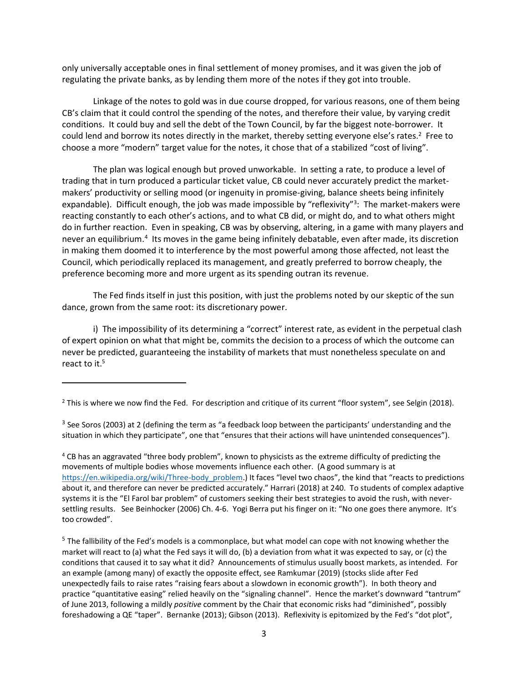only universally acceptable ones in final settlement of money promises, and it was given the job of regulating the private banks, as by lending them more of the notes if they got into trouble.

Linkage of the notes to gold was in due course dropped, for various reasons, one of them being CB's claim that it could control the spending of the notes, and therefore their value, by varying credit conditions. It could buy and sell the debt of the Town Council, by far the biggest note-borrower. It could lend and borrow its notes directly in the market, thereby setting everyone else's rates.<sup>2</sup> Free to choose a more "modern" target value for the notes, it chose that of a stabilized "cost of living".

The plan was logical enough but proved unworkable. In setting a rate, to produce a level of trading that in turn produced a particular ticket value, CB could never accurately predict the marketmakers' productivity or selling mood (or ingenuity in promise-giving, balance sheets being infinitely expandable). Difficult enough, the job was made impossible by "reflexivity"<sup>3</sup>: The market-makers were reacting constantly to each other's actions, and to what CB did, or might do, and to what others might do in further reaction. Even in speaking, CB was by observing, altering, in a game with many players and never an equilibrium.<sup>4</sup> Its moves in the game being infinitely debatable, even after made, its discretion in making them doomed it to interference by the most powerful among those affected, not least the Council, which periodically replaced its management, and greatly preferred to borrow cheaply, the preference becoming more and more urgent as its spending outran its revenue.

The Fed finds itself in just this position, with just the problems noted by our skeptic of the sun dance, grown from the same root: its discretionary power.

i) The impossibility of its determining a "correct" interest rate, as evident in the perpetual clash of expert opinion on what that might be, commits the decision to a process of which the outcome can never be predicted, guaranteeing the instability of markets that must nonetheless speculate on and react to it.<sup>5</sup>

<sup>2</sup> This is where we now find the Fed. For description and critique of its current "floor system", see Selgin (2018).

 $3$  See Soros (2003) at 2 (defining the term as "a feedback loop between the participants' understanding and the situation in which they participate", one that "ensures that their actions will have unintended consequences").

<sup>4</sup> CB has an aggravated "three body problem", known to physicists as the extreme difficulty of predicting the movements of multiple bodies whose movements influence each other. (A good summary is at [https://en.wikipedia.org/wiki/Three-body\\_problem](https://en.wikipedia.org/wiki/Three-body_problem).) It faces "level two chaos", the kind that "reacts to predictions about it, and therefore can never be predicted accurately." Harrari (2018) at 240. To students of complex adaptive systems it is the "El Farol bar problem" of customers seeking their best strategies to avoid the rush, with neversettling results. See Beinhocker (2006) Ch. 4-6. Yogi Berra put his finger on it: "No one goes there anymore. It's too crowded".

 $<sup>5</sup>$  The fallibility of the Fed's models is a commonplace, but what model can cope with not knowing whether the</sup> market will react to (a) what the Fed says it will do, (b) a deviation from what it was expected to say, or (c) the conditions that caused it to say what it did?Announcements of stimulus usually boost markets, as intended. For an example (among many) of exactly the opposite effect, see Ramkumar (2019) (stocks slide after Fed unexpectedly fails to raise rates "raising fears about a slowdown in economic growth"). In both theory and practice "quantitative easing" relied heavily on the "signaling channel". Hence the market's downward "tantrum" of June 2013, following a mildly *positive* comment by the Chair that economic risks had "diminished", possibly foreshadowing a QE "taper". Bernanke (2013); Gibson (2013). Reflexivity is epitomized by the Fed's "dot plot",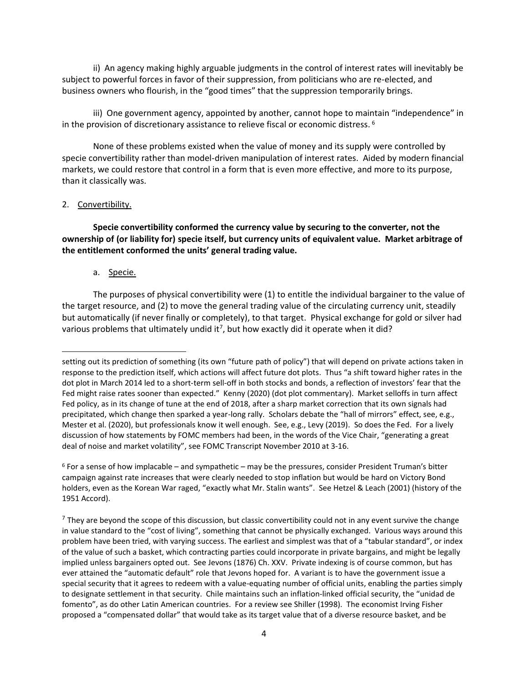ii) An agency making highly arguable judgments in the control of interest rates will inevitably be subject to powerful forces in favor of their suppression, from politicians who are re-elected, and business owners who flourish, in the "good times" that the suppression temporarily brings.

iii) One government agency, appointed by another, cannot hope to maintain "independence" in in the provision of discretionary assistance to relieve fiscal or economic distress. 6

None of these problems existed when the value of money and its supply were controlled by specie convertibility rather than model-driven manipulation of interest rates. Aided by modern financial markets, we could restore that control in a form that is even more effective, and more to its purpose, than it classically was.

#### 2. Convertibility.

**Specie convertibility conformed the currency value by securing to the converter, not the ownership of (or liability for) specie itself, but currency units of equivalent value. Market arbitrage of the entitlement conformed the units' general trading value.** 

a. Specie.

The purposes of physical convertibility were (1) to entitle the individual bargainer to the value of the target resource, and (2) to move the general trading value of the circulating currency unit, steadily but automatically (if never finally or completely), to that target. Physical exchange for gold or silver had various problems that ultimately undid it<sup>7</sup>, but how exactly did it operate when it did?

setting out its prediction of something (its own "future path of policy") that will depend on private actions taken in response to the prediction itself, which actions will affect future dot plots. Thus "a shift toward higher rates in the dot plot in March 2014 led to a short-term sell-off in both stocks and bonds, a reflection of investors' fear that the Fed might raise rates sooner than expected." Kenny (2020) (dot plot commentary). Market selloffs in turn affect Fed policy, as in its change of tune at the end of 2018, after a sharp market correction that its own signals had precipitated, which change then sparked a year-long rally. Scholars debate the "hall of mirrors" effect, see, e.g., Mester et al. (2020), but professionals know it well enough. See, e.g., Levy (2019). So does the Fed. For a lively discussion of how statements by FOMC members had been, in the words of the Vice Chair, "generating a great deal of noise and market volatility", see FOMC Transcript November 2010 at 3-16.

 $6$  For a sense of how implacable – and sympathetic – may be the pressures, consider President Truman's bitter campaign against rate increases that were clearly needed to stop inflation but would be hard on Victory Bond holders, even as the Korean War raged, "exactly what Mr. Stalin wants". See Hetzel & Leach (2001) (history of the 1951 Accord).

 $<sup>7</sup>$  They are beyond the scope of this discussion, but classic convertibility could not in any event survive the change</sup> in value standard to the "cost of living", something that cannot be physically exchanged. Various ways around this problem have been tried, with varying success. The earliest and simplest was that of a "tabular standard", or index of the value of such a basket, which contracting parties could incorporate in private bargains, and might be legally implied unless bargainers opted out. See Jevons (1876) Ch. XXV. Private indexing is of course common, but has ever attained the "automatic default" role that Jevons hoped for. A variant is to have the government issue a special security that it agrees to redeem with a value-equating number of official units, enabling the parties simply to designate settlement in that security. Chile maintains such an inflation-linked official security, the "unidad de fomento", as do other Latin American countries. For a review see Shiller (1998). The economist Irving Fisher proposed a "compensated dollar" that would take as its target value that of a diverse resource basket, and be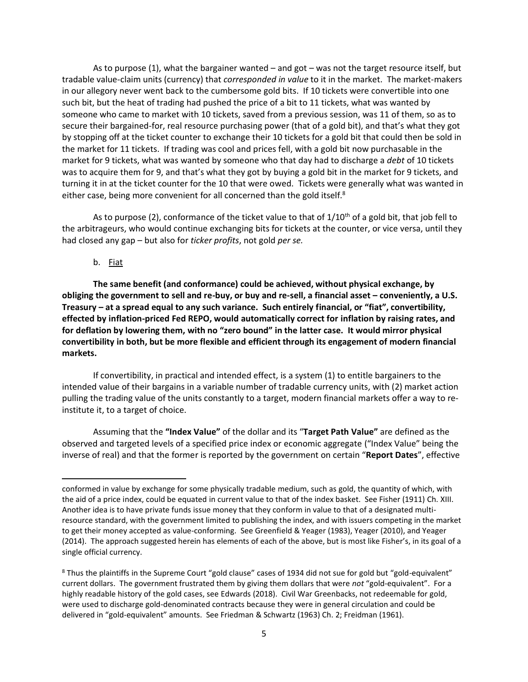As to purpose (1), what the bargainer wanted – and got – was not the target resource itself, but tradable value-claim units (currency) that *corresponded in value* to it in the market. The market-makers in our allegory never went back to the cumbersome gold bits. If 10 tickets were convertible into one such bit, but the heat of trading had pushed the price of a bit to 11 tickets, what was wanted by someone who came to market with 10 tickets, saved from a previous session, was 11 of them, so as to secure their bargained-for, real resource purchasing power (that of a gold bit), and that's what they got by stopping off at the ticket counter to exchange their 10 tickets for a gold bit that could then be sold in the market for 11 tickets. If trading was cool and prices fell, with a gold bit now purchasable in the market for 9 tickets, what was wanted by someone who that day had to discharge a *debt* of 10 tickets was to acquire them for 9, and that's what they got by buying a gold bit in the market for 9 tickets, and turning it in at the ticket counter for the 10 that were owed. Tickets were generally what was wanted in either case, being more convenient for all concerned than the gold itself.<sup>8</sup>

As to purpose (2), conformance of the ticket value to that of  $1/10<sup>th</sup>$  of a gold bit, that job fell to the arbitrageurs, who would continue exchanging bits for tickets at the counter, or vice versa, until they had closed any gap – but also for *ticker profits*, not gold *per se.*

b. Fiat

**The same benefit (and conformance) could be achieved, without physical exchange, by obliging the government to sell and re-buy, or buy and re-sell, a financial asset – conveniently, a U.S. Treasury – at a spread equal to any such variance. Such entirely financial, or "fiat", convertibility, effected by inflation-priced Fed REPO, would automatically correct for inflation by raising rates, and for deflation by lowering them, with no "zero bound" in the latter case. It would mirror physical convertibility in both, but be more flexible and efficient through its engagement of modern financial markets.** 

If convertibility, in practical and intended effect, is a system (1) to entitle bargainers to the intended value of their bargains in a variable number of tradable currency units, with (2) market action pulling the trading value of the units constantly to a target, modern financial markets offer a way to reinstitute it, to a target of choice.

Assuming that the **"Index Value"** of the dollar and its "**Target Path Value"** are defined as the observed and targeted levels of a specified price index or economic aggregate ("Index Value" being the inverse of real) and that the former is reported by the government on certain "**Report Dates**", effective

conformed in value by exchange for some physically tradable medium, such as gold, the quantity of which, with the aid of a price index, could be equated in current value to that of the index basket. See Fisher (1911) Ch. XIII. Another idea is to have private funds issue money that they conform in value to that of a designated multiresource standard, with the government limited to publishing the index, and with issuers competing in the market to get their money accepted as value-conforming. See Greenfield & Yeager (1983), Yeager (2010), and Yeager (2014). The approach suggested herein has elements of each of the above, but is most like Fisher's, in its goal of a single official currency.

<sup>&</sup>lt;sup>8</sup> Thus the plaintiffs in the Supreme Court "gold clause" cases of 1934 did not sue for gold but "gold-equivalent" current dollars. The government frustrated them by giving them dollars that were *not* "gold-equivalent". For a highly readable history of the gold cases, see Edwards (2018). Civil War Greenbacks, not redeemable for gold, were used to discharge gold-denominated contracts because they were in general circulation and could be delivered in "gold-equivalent" amounts. See Friedman & Schwartz (1963) Ch. 2; Freidman (1961).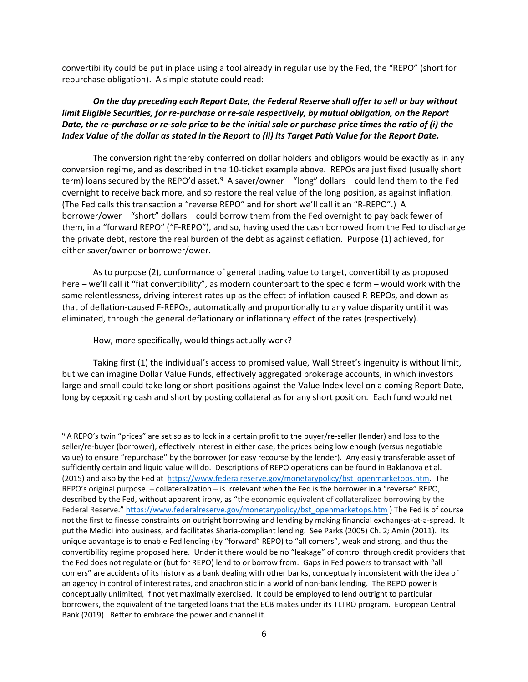convertibility could be put in place using a tool already in regular use by the Fed, the "REPO" (short for repurchase obligation). A simple statute could read:

#### *On the day preceding each Report Date, the Federal Reserve shall offer to sell or buy without limit Eligible Securities, for re-purchase or re-sale respectively, by mutual obligation, on the Report Date, the re-purchase or re-sale price to be the initial sale or purchase price times the ratio of (i) the Index Value of the dollar as stated in the Report to (ii) its Target Path Value for the Report Date.*

The conversion right thereby conferred on dollar holders and obligors would be exactly as in any conversion regime, and as described in the 10-ticket example above. REPOs are just fixed (usually short term) loans secured by the REPO'd asset.<sup>9</sup> A saver/owner – "long" dollars – could lend them to the Fed overnight to receive back more, and so restore the real value of the long position, as against inflation. (The Fed calls this transaction a "reverse REPO" and for short we'll call it an "R-REPO".) A borrower/ower – "short" dollars – could borrow them from the Fed overnight to pay back fewer of them, in a "forward REPO" ("F-REPO"), and so, having used the cash borrowed from the Fed to discharge the private debt, restore the real burden of the debt as against deflation. Purpose (1) achieved, for either saver/owner or borrower/ower.

As to purpose (2), conformance of general trading value to target, convertibility as proposed here – we'll call it "fiat convertibility", as modern counterpart to the specie form – would work with the same relentlessness, driving interest rates up as the effect of inflation-caused R-REPOs, and down as that of deflation-caused F-REPOs, automatically and proportionally to any value disparity until it was eliminated, through the general deflationary or inflationary effect of the rates (respectively).

How, more specifically, would things actually work?

Taking first (1) the individual's access to promised value, Wall Street's ingenuity is without limit, but we can imagine Dollar Value Funds, effectively aggregated brokerage accounts, in which investors large and small could take long or short positions against the Value Index level on a coming Report Date, long by depositing cash and short by posting collateral as for any short position. Each fund would net

<sup>&</sup>lt;sup>9</sup> A REPO's twin "prices" are set so as to lock in a certain profit to the buyer/re-seller (lender) and loss to the seller/re-buyer (borrower), effectively interest in either case, the prices being low enough (versus negotiable value) to ensure "repurchase" by the borrower (or easy recourse by the lender). Any easily transferable asset of sufficiently certain and liquid value will do. Descriptions of REPO operations can be found in Baklanova et al. (2015) and also by the Fed at [https://www.federalreserve.gov/monetarypolicy/bst\\_openmarketops.htm.](https://www.federalreserve.gov/monetarypolicy/bst_openmarketops.htm) The REPO's original purpose – collateralization – is irrelevant when the Fed is the borrower in a "reverse" REPO, described by the Fed, without apparent irony, as "the economic equivalent of collateralized borrowing by the Federal Reserve." [https://www.federalreserve.gov/monetarypolicy/bst\\_openmarketops.htm](https://www.federalreserve.gov/monetarypolicy/bst_openmarketops.htm) ) The Fed is of course not the first to finesse constraints on outright borrowing and lending by making financial exchanges-at-a-spread. It put the Medici into business, and facilitates Sharia-compliant lending. See Parks (2005) Ch. 2*;* Amin (2011). Its unique advantage is to enable Fed lending (by "forward" REPO) to "all comers", weak and strong, and thus the convertibility regime proposed here. Under it there would be no "leakage" of control through credit providers that the Fed does not regulate or (but for REPO) lend to or borrow from. Gaps in Fed powers to transact with "all comers" are accidents of its history as a bank dealing with other banks, conceptually inconsistent with the idea of an agency in control of interest rates, and anachronistic in a world of non-bank lending. The REPO power is conceptually unlimited, if not yet maximally exercised. It could be employed to lend outright to particular borrowers, the equivalent of the targeted loans that the ECB makes under its TLTRO program. European Central Bank (2019). Better to embrace the power and channel it.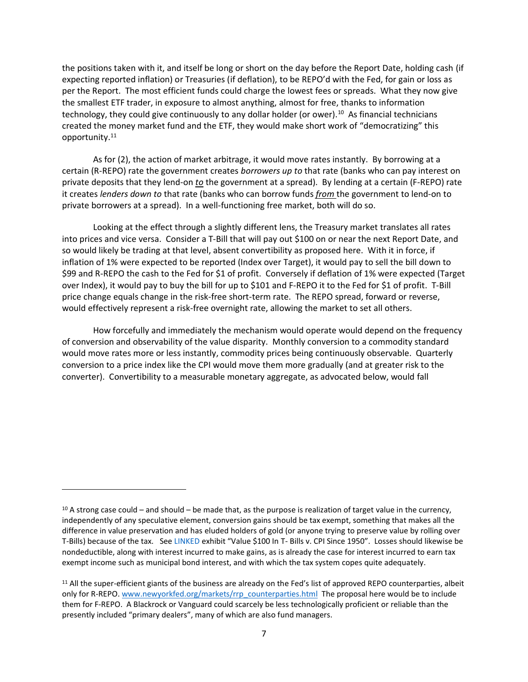the positions taken with it, and itself be long or short on the day before the Report Date, holding cash (if expecting reported inflation) or Treasuries (if deflation), to be REPO'd with the Fed, for gain or loss as per the Report. The most efficient funds could charge the lowest fees or spreads. What they now give the smallest ETF trader, in exposure to almost anything, almost for free, thanks to information technology, they could give continuously to any dollar holder (or ower).<sup>10</sup> As financial technicians created the money market fund and the ETF, they would make short work of "democratizing" this opportunity. 11

As for (2), the action of market arbitrage, it would move rates instantly. By borrowing at a certain (R-REPO) rate the government creates *borrowers up to* that rate (banks who can pay interest on private deposits that they lend-on *to* the government at a spread). By lending at a certain (F-REPO) rate it creates *lenders down to* that rate (banks who can borrow funds *from* the government to lend-on to private borrowers at a spread). In a well-functioning free market, both will do so.

Looking at the effect through a slightly different lens, the Treasury market translates all rates into prices and vice versa. Consider a T-Bill that will pay out \$100 on or near the next Report Date, and so would likely be trading at that level, absent convertibility as proposed here. With it in force, if inflation of 1% were expected to be reported (Index over Target), it would pay to sell the bill down to \$99 and R-REPO the cash to the Fed for \$1 of profit. Conversely if deflation of 1% were expected (Target over Index), it would pay to buy the bill for up to \$101 and F-REPO it to the Fed for \$1 of profit. T-Bill price change equals change in the risk-free short-term rate. The REPO spread, forward or reverse, would effectively represent a risk-free overnight rate, allowing the market to set all others.

How forcefully and immediately the mechanism would operate would depend on the frequency of conversion and observability of the value disparity. Monthly conversion to a commodity standard would move rates more or less instantly, commodity prices being continuously observable. Quarterly conversion to a price index like the CPI would move them more gradually (and at greater risk to the converter). Convertibility to a measurable monetary aggregate, as advocated below, would fall

 $10$  A strong case could – and should – be made that, as the purpose is realization of target value in the currency, independently of any speculative element, conversion gains should be tax exempt, something that makes all the difference in value preservation and has eluded holders of gold (or anyone trying to preserve value by rolling over T-Bills) because of the tax. See [LINKED](https://brandytrust.sharefile.com/d-sa84e2a551bdf4c1f820025436b8c13d9) exhibit "Value \$100 In T- Bills v. CPI Since 1950". Losses should likewise be nondeductible, along with interest incurred to make gains, as is already the case for interest incurred to earn tax exempt income such as municipal bond interest, and with which the tax system copes quite adequately.

 $11$  All the super-efficient giants of the business are already on the Fed's list of approved REPO counterparties, albeit only for R-REPO. [www.newyorkfed.org/markets/rrp\\_counterparties.html](http://www.newyorkfed.org/markets/rrp_counterparties.html) The proposal here would be to include them for F-REPO. A Blackrock or Vanguard could scarcely be less technologically proficient or reliable than the presently included "primary dealers", many of which are also fund managers.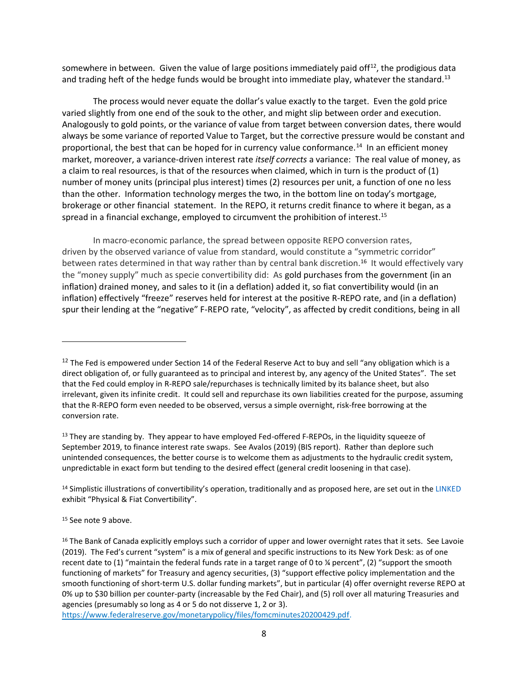somewhere in between. Given the value of large positions immediately paid off $^{12}$ , the prodigious data and trading heft of the hedge funds would be brought into immediate play, whatever the standard.<sup>13</sup>

The process would never equate the dollar's value exactly to the target. Even the gold price varied slightly from one end of the souk to the other, and might slip between order and execution. Analogously to gold points, or the variance of value from target between conversion dates, there would always be some variance of reported Value to Target, but the corrective pressure would be constant and proportional, the best that can be hoped for in currency value conformance.<sup>14</sup> In an efficient money market, moreover, a variance-driven interest rate *itself corrects* a variance: The real value of money, as a claim to real resources, is that of the resources when claimed, which in turn is the product of (1) number of money units (principal plus interest) times (2) resources per unit, a function of one no less than the other. Information technology merges the two, in the bottom line on today's mortgage, brokerage or other financial statement. In the REPO, it returns credit finance to where it began, as a spread in a financial exchange, employed to circumvent the prohibition of interest.<sup>15</sup>

In macro-economic parlance, the spread between opposite REPO conversion rates, driven by the observed variance of value from standard, would constitute a "symmetric corridor" between rates determined in that way rather than by central bank discretion.<sup>16</sup> It would effectively vary the "money supply" much as specie convertibility did: As gold purchases from the government (in an inflation) drained money, and sales to it (in a deflation) added it, so fiat convertibility would (in an inflation) effectively "freeze" reserves held for interest at the positive R-REPO rate, and (in a deflation) spur their lending at the "negative" F-REPO rate, "velocity", as affected by credit conditions, being in all

<sup>&</sup>lt;sup>12</sup> The Fed is empowered under Section 14 of the Federal Reserve Act to buy and sell "any obligation which is a direct obligation of, or fully guaranteed as to principal and interest by, any agency of the United States". The set that the Fed could employ in R-REPO sale/repurchases is technically limited by its balance sheet, but also irrelevant, given its infinite credit. It could sell and repurchase its own liabilities created for the purpose, assuming that the R-REPO form even needed to be observed, versus a simple overnight, risk-free borrowing at the conversion rate.

<sup>&</sup>lt;sup>13</sup> They are standing by. They appear to have employed Fed-offered F-REPOs, in the liquidity squeeze of September 2019, to finance interest rate swaps. See Avalos (2019) (BIS report). Rather than deplore such unintended consequences, the better course is to welcome them as adjustments to the hydraulic credit system, unpredictable in exact form but tending to the desired effect (general credit loosening in that case).

<sup>&</sup>lt;sup>14</sup> Simplistic illustrations of convertibility's operation, traditionally and as proposed here, are set out in the [LINKED](https://brandytrust.sharefile.com/d-sa84e2a551bdf4c1f820025436b8c13d9) exhibit "Physical & Fiat Convertibility".

<sup>15</sup> See note 9 above.

<sup>&</sup>lt;sup>16</sup> The Bank of Canada explicitly employs such a corridor of upper and lower overnight rates that it sets. See Lavoie (2019). The Fed's current "system" is a mix of general and specific instructions to its New York Desk: as of one recent date to (1) "maintain the federal funds rate in a target range of 0 to ¼ percent", (2) "support the smooth functioning of markets" for Treasury and agency securities, (3) "support effective policy implementation and the smooth functioning of short-term U.S. dollar funding markets", but in particular (4) offer overnight reverse REPO at 0% up to \$30 billion per counter-party (increasable by the Fed Chair), and (5) roll over all maturing Treasuries and agencies (presumably so long as 4 or 5 do not disserve 1, 2 or 3).

[https://www.federalreserve.gov/monetarypolicy/files/fomcminutes20200429.pdf.](https://www.federalreserve.gov/monetarypolicy/files/fomcminutes20200429.pdf)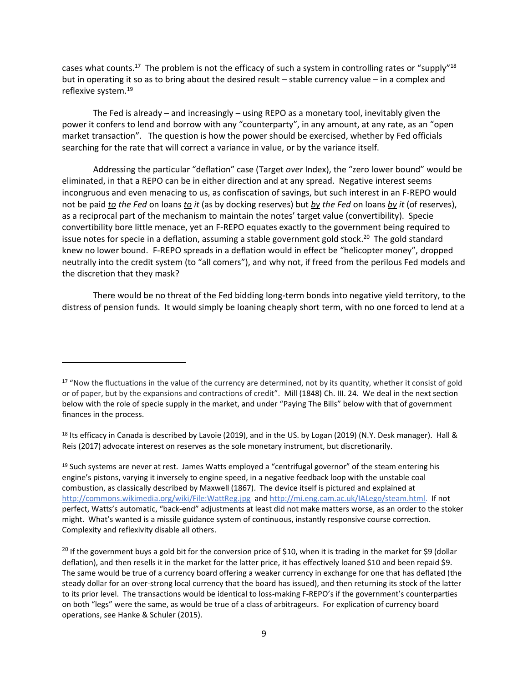cases what counts.<sup>17</sup> The problem is not the efficacy of such a system in controlling rates or "supply"<sup>18</sup> but in operating it so as to bring about the desired result – stable currency value – in a complex and reflexive system. 19

The Fed is already – and increasingly – using REPO as a monetary tool, inevitably given the power it confers to lend and borrow with any "counterparty", in any amount, at any rate, as an "open market transaction". The question is how the power should be exercised, whether by Fed officials searching for the rate that will correct a variance in value, or by the variance itself.

Addressing the particular "deflation" case (Target *over* Index), the "zero lower bound" would be eliminated, in that a REPO can be in either direction and at any spread. Negative interest seems incongruous and even menacing to us, as confiscation of savings, but such interest in an F-REPO would not be paid *to the Fed* on loans *to it* (as by docking reserves) but *by the Fed* on loans *by it* (of reserves), as a reciprocal part of the mechanism to maintain the notes' target value (convertibility). Specie convertibility bore little menace, yet an F-REPO equates exactly to the government being required to issue notes for specie in a deflation, assuming a stable government gold stock. <sup>20</sup> The gold standard knew no lower bound. F-REPO spreads in a deflation would in effect be "helicopter money", dropped neutrally into the credit system (to "all comers"), and why not, if freed from the perilous Fed models and the discretion that they mask?

There would be no threat of the Fed bidding long-term bonds into negative yield territory, to the distress of pension funds. It would simply be loaning cheaply short term, with no one forced to lend at a

<sup>&</sup>lt;sup>17</sup> "Now the fluctuations in the value of the currency are determined, not by its quantity, whether it consist of gold or of paper, but by the expansions and contractions of credit". Mill (1848) Ch. III. 24. We deal in the next section below with the role of specie supply in the market, and under "Paying The Bills" below with that of government finances in the process.

<sup>18</sup> Its efficacy in Canada is described by Lavoie (2019), and in the US. by Logan (2019) (N.Y. Desk manager). Hall & Reis (2017) advocate interest on reserves as the sole monetary instrument, but discretionarily.

<sup>&</sup>lt;sup>19</sup> Such systems are never at rest. James Watts employed a "centrifugal governor" of the steam entering his engine's pistons, varying it inversely to engine speed, in a negative feedback loop with the unstable coal combustion, as classically described by Maxwell (1867). The device itself is pictured and explained at <http://commons.wikimedia.org/wiki/File:WattReg.jpg>and [http://mi.eng.cam.ac.uk/IALego/steam.html.](http://mi.eng.cam.ac.uk/IALego/steam.html) If not perfect, Watts's automatic, "back-end" adjustments at least did not make matters worse, as an order to the stoker might. What's wanted is a missile guidance system of continuous, instantly responsive course correction. Complexity and reflexivity disable all others.

<sup>&</sup>lt;sup>20</sup> If the government buys a gold bit for the conversion price of \$10, when it is trading in the market for \$9 (dollar deflation), and then resells it in the market for the latter price, it has effectively loaned \$10 and been repaid \$9. The same would be true of a currency board offering a weaker currency in exchange for one that has deflated (the steady dollar for an over-strong local currency that the board has issued), and then returning its stock of the latter to its prior level. The transactions would be identical to loss-making F-REPO's if the government's counterparties on both "legs" were the same, as would be true of a class of arbitrageurs. For explication of currency board operations, see Hanke & Schuler (2015).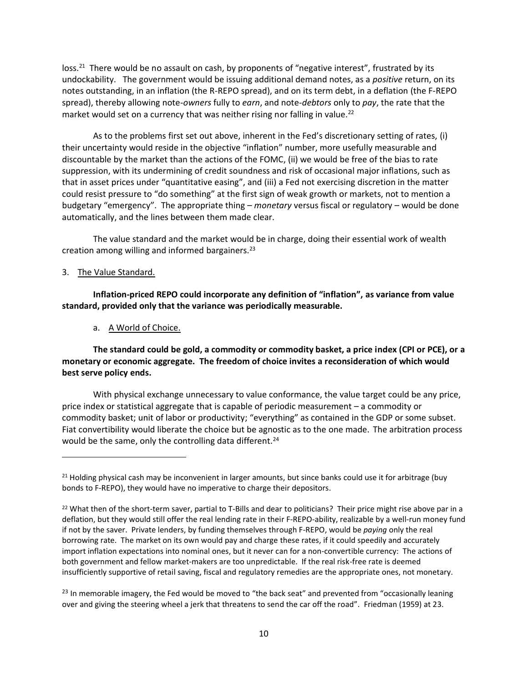loss.<sup>21</sup> There would be no assault on cash, by proponents of "negative interest", frustrated by its undockability. The government would be issuing additional demand notes, as a *positive* return, on its notes outstanding, in an inflation (the R-REPO spread), and on its term debt, in a deflation (the F-REPO spread), thereby allowing note-*owners* fully to *earn*, and note-*debtors* only to *pay*, the rate that the market would set on a currency that was neither rising nor falling in value.<sup>22</sup>

As to the problems first set out above, inherent in the Fed's discretionary setting of rates, (i) their uncertainty would reside in the objective "inflation" number, more usefully measurable and discountable by the market than the actions of the FOMC, (ii) we would be free of the bias to rate suppression, with its undermining of credit soundness and risk of occasional major inflations, such as that in asset prices under "quantitative easing", and (iii) a Fed not exercising discretion in the matter could resist pressure to "do something" at the first sign of weak growth or markets, not to mention a budgetary "emergency". The appropriate thing – *monetary* versus fiscal or regulatory – would be done automatically, and the lines between them made clear.

The value standard and the market would be in charge, doing their essential work of wealth creation among willing and informed bargainers. 23

#### 3. The Value Standard.

**Inflation-priced REPO could incorporate any definition of "inflation", as variance from value standard, provided only that the variance was periodically measurable.** 

a. A World of Choice.

**The standard could be gold, a commodity or commodity basket, a price index (CPI or PCE), or a monetary or economic aggregate. The freedom of choice invites a reconsideration of which would best serve policy ends.** 

With physical exchange unnecessary to value conformance, the value target could be any price, price index or statistical aggregate that is capable of periodic measurement – a commodity or commodity basket; unit of labor or productivity; "everything" as contained in the GDP or some subset. Fiat convertibility would liberate the choice but be agnostic as to the one made. The arbitration process would be the same, only the controlling data different.<sup>24</sup>

<sup>&</sup>lt;sup>21</sup> Holding physical cash may be inconvenient in larger amounts, but since banks could use it for arbitrage (buy bonds to F-REPO), they would have no imperative to charge their depositors.

<sup>&</sup>lt;sup>22</sup> What then of the short-term saver, partial to T-Bills and dear to politicians? Their price might rise above par in a deflation, but they would still offer the real lending rate in their F-REPO-ability, realizable by a well-run money fund if not by the saver. Private lenders, by funding themselves through F-REPO, would be *paying* only the real borrowing rate. The market on its own would pay and charge these rates, if it could speedily and accurately import inflation expectations into nominal ones, but it never can for a non-convertible currency: The actions of both government and fellow market-makers are too unpredictable. If the real risk-free rate is deemed insufficiently supportive of retail saving, fiscal and regulatory remedies are the appropriate ones, not monetary.

<sup>&</sup>lt;sup>23</sup> In memorable imagery, the Fed would be moved to "the back seat" and prevented from "occasionally leaning over and giving the steering wheel a jerk that threatens to send the car off the road". Friedman (1959) at 23.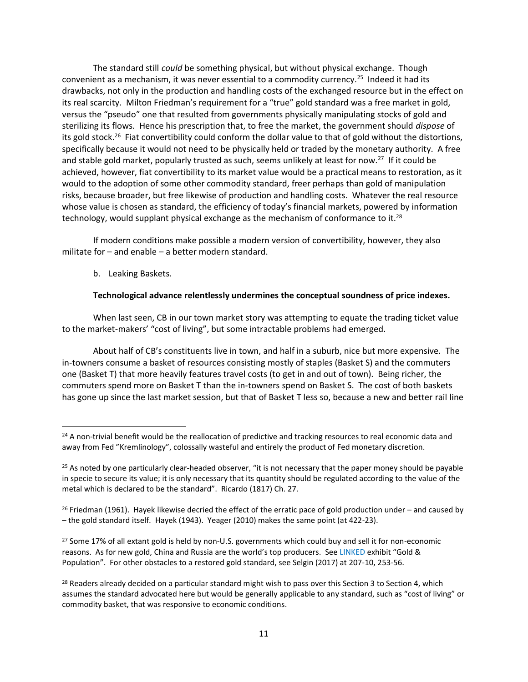The standard still *could* be something physical, but without physical exchange. Though convenient as a mechanism, it was never essential to a commodity currency.<sup>25</sup> Indeed it had its drawbacks, not only in the production and handling costs of the exchanged resource but in the effect on its real scarcity. Milton Friedman's requirement for a "true" gold standard was a free market in gold, versus the "pseudo" one that resulted from governments physically manipulating stocks of gold and sterilizing its flows. Hence his prescription that, to free the market, the government should *dispose* of its gold stock.<sup>26</sup> Fiat convertibility could conform the dollar value to that of gold without the distortions, specifically because it would not need to be physically held or traded by the monetary authority. A free and stable gold market, popularly trusted as such, seems unlikely at least for now.<sup>27</sup> If it could be achieved, however, fiat convertibility to its market value would be a practical means to restoration, as it would to the adoption of some other commodity standard, freer perhaps than gold of manipulation risks, because broader, but free likewise of production and handling costs. Whatever the real resource whose value is chosen as standard, the efficiency of today's financial markets, powered by information technology, would supplant physical exchange as the mechanism of conformance to it.<sup>28</sup>

If modern conditions make possible a modern version of convertibility, however, they also militate for – and enable – a better modern standard.

#### b. Leaking Baskets.

#### **Technological advance relentlessly undermines the conceptual soundness of price indexes.**

When last seen, CB in our town market story was attempting to equate the trading ticket value to the market-makers' "cost of living", but some intractable problems had emerged.

About half of CB's constituents live in town, and half in a suburb, nice but more expensive. The in-towners consume a basket of resources consisting mostly of staples (Basket S) and the commuters one (Basket T) that more heavily features travel costs (to get in and out of town). Being richer, the commuters spend more on Basket T than the in-towners spend on Basket S. The cost of both baskets has gone up since the last market session, but that of Basket T less so, because a new and better rail line

<sup>27</sup> Some 17% of all extant gold is held by non-U.S. governments which could buy and sell it for non-economic reasons. As for new gold, China and Russia are the world's top producers. See [LINKED](https://brandytrust.sharefile.com/d-sa84e2a551bdf4c1f820025436b8c13d9) exhibit "Gold & Population". For other obstacles to a restored gold standard, see Selgin (2017) at 207-10, 253-56.

<sup>&</sup>lt;sup>24</sup> A non-trivial benefit would be the reallocation of predictive and tracking resources to real economic data and away from Fed "Kremlinology", colossally wasteful and entirely the product of Fed monetary discretion.

 $25$  As noted by one particularly clear-headed observer, "it is not necessary that the paper money should be payable in specie to secure its value; it is only necessary that its quantity should be regulated according to the value of the metal which is declared to be the standard". Ricardo (1817) Ch. 27.

 $26$  Friedman (1961). Hayek likewise decried the effect of the erratic pace of gold production under – and caused by – the gold standard itself. Hayek (1943). Yeager (2010) makes the same point (at 422-23).

<sup>&</sup>lt;sup>28</sup> Readers already decided on a particular standard might wish to pass over this Section 3 to Section 4, which assumes the standard advocated here but would be generally applicable to any standard, such as "cost of living" or commodity basket, that was responsive to economic conditions.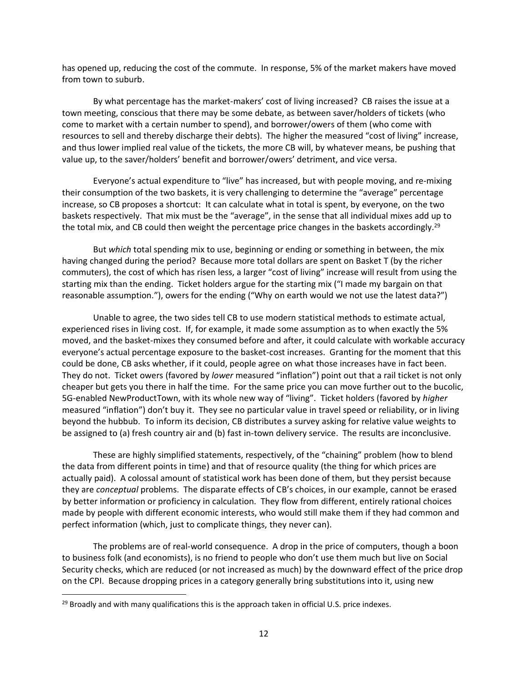has opened up, reducing the cost of the commute. In response, 5% of the market makers have moved from town to suburb.

By what percentage has the market-makers' cost of living increased? CB raises the issue at a town meeting, conscious that there may be some debate, as between saver/holders of tickets (who come to market with a certain number to spend), and borrower/owers of them (who come with resources to sell and thereby discharge their debts). The higher the measured "cost of living" increase, and thus lower implied real value of the tickets, the more CB will, by whatever means, be pushing that value up, to the saver/holders' benefit and borrower/owers' detriment, and vice versa.

Everyone's actual expenditure to "live" has increased, but with people moving, and re-mixing their consumption of the two baskets, it is very challenging to determine the "average" percentage increase, so CB proposes a shortcut: It can calculate what in total is spent, by everyone, on the two baskets respectively. That mix must be the "average", in the sense that all individual mixes add up to the total mix, and CB could then weight the percentage price changes in the baskets accordingly.<sup>29</sup>

But *which* total spending mix to use, beginning or ending or something in between, the mix having changed during the period? Because more total dollars are spent on Basket T (by the richer commuters), the cost of which has risen less, a larger "cost of living" increase will result from using the starting mix than the ending. Ticket holders argue for the starting mix ("I made my bargain on that reasonable assumption."), owers for the ending ("Why on earth would we not use the latest data?")

Unable to agree, the two sides tell CB to use modern statistical methods to estimate actual, experienced rises in living cost. If, for example, it made some assumption as to when exactly the 5% moved, and the basket-mixes they consumed before and after, it could calculate with workable accuracy everyone's actual percentage exposure to the basket-cost increases. Granting for the moment that this could be done, CB asks whether, if it could, people agree on what those increases have in fact been. They do not. Ticket owers (favored by *lower* measured "inflation") point out that a rail ticket is not only cheaper but gets you there in half the time. For the same price you can move further out to the bucolic, 5G-enabled NewProductTown, with its whole new way of "living". Ticket holders (favored by *higher*  measured "inflation") don't buy it. They see no particular value in travel speed or reliability, or in living beyond the hubbub. To inform its decision, CB distributes a survey asking for relative value weights to be assigned to (a) fresh country air and (b) fast in-town delivery service. The results are inconclusive.

These are highly simplified statements, respectively, of the "chaining" problem (how to blend the data from different points in time) and that of resource quality (the thing for which prices are actually paid). A colossal amount of statistical work has been done of them, but they persist because they are *conceptual* problems. The disparate effects of CB's choices, in our example, cannot be erased by better information or proficiency in calculation. They flow from different, entirely rational choices made by people with different economic interests, who would still make them if they had common and perfect information (which, just to complicate things, they never can).

The problems are of real-world consequence. A drop in the price of computers, though a boon to business folk (and economists), is no friend to people who don't use them much but live on Social Security checks, which are reduced (or not increased as much) by the downward effect of the price drop on the CPI. Because dropping prices in a category generally bring substitutions into it, using new

 $29$  Broadly and with many qualifications this is the approach taken in official U.S. price indexes.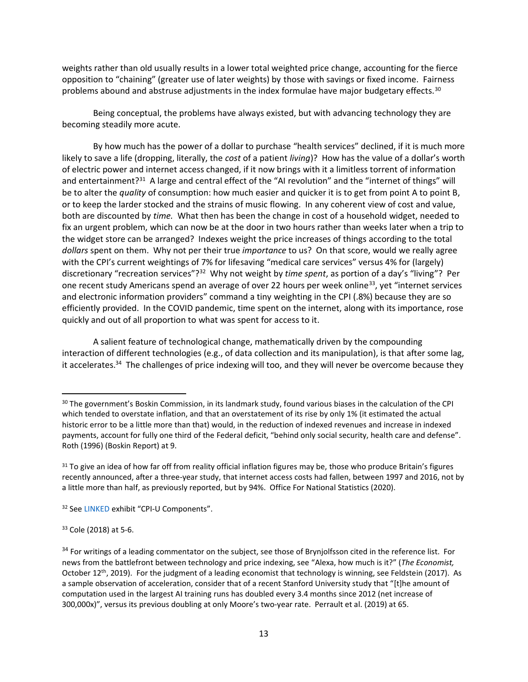weights rather than old usually results in a lower total weighted price change, accounting for the fierce opposition to "chaining" (greater use of later weights) by those with savings or fixed income. Fairness problems abound and abstruse adjustments in the index formulae have major budgetary effects. $30$ 

Being conceptual, the problems have always existed, but with advancing technology they are becoming steadily more acute.

By how much has the power of a dollar to purchase "health services" declined, if it is much more likely to save a life (dropping, literally, the *cost* of a patient *living*)? How has the value of a dollar's worth of electric power and internet access changed, if it now brings with it a limitless torrent of information and entertainment?<sup>31</sup> A large and central effect of the "AI revolution" and the "internet of things" will be to alter the *quality* of consumption: how much easier and quicker it is to get from point A to point B, or to keep the larder stocked and the strains of music flowing. In any coherent view of cost and value, both are discounted by *time.* What then has been the change in cost of a household widget, needed to fix an urgent problem, which can now be at the door in two hours rather than weeks later when a trip to the widget store can be arranged? Indexes weight the price increases of things according to the total *dollars* spent on them. Why not per their true *importance* to us? On that score, would we really agree with the CPI's current weightings of 7% for lifesaving "medical care services" versus 4% for (largely) discretionary "recreation services"?<sup>32</sup> Why not weight by *time spent*, as portion of a day's "living"? Per one recent study Americans spend an average of over 22 hours per week online<sup>33</sup>, yet "internet services" and electronic information providers" command a tiny weighting in the CPI (.8%) because they are so efficiently provided. In the COVID pandemic, time spent on the internet, along with its importance, rose quickly and out of all proportion to what was spent for access to it.

A salient feature of technological change, mathematically driven by the compounding interaction of different technologies (e.g., of data collection and its manipulation), is that after some lag, it accelerates.<sup>34</sup> The challenges of price indexing will too, and they will never be overcome because they

<sup>33</sup> Cole (2018) at 5-6.

<sup>&</sup>lt;sup>30</sup> The government's Boskin Commission, in its landmark study, found various biases in the calculation of the CPI which tended to overstate inflation, and that an overstatement of its rise by only 1% (it estimated the actual historic error to be a little more than that) would, in the reduction of indexed revenues and increase in indexed payments, account for fully one third of the Federal deficit, "behind only social security, health care and defense". Roth (1996) (Boskin Report) at 9.

<sup>&</sup>lt;sup>31</sup> To give an idea of how far off from reality official inflation figures may be, those who produce Britain's figures recently announced, after a three-year study, that internet access costs had fallen, between 1997 and 2016, not by a little more than half, as previously reported, but by 94%. Office For National Statistics (2020).

<sup>32</sup> Se[e LINKED](https://brandytrust.sharefile.com/d-sa84e2a551bdf4c1f820025436b8c13d9) exhibit "CPI-U Components".

<sup>&</sup>lt;sup>34</sup> For writings of a leading commentator on the subject, see those of Brynjolfsson cited in the reference list. For news from the battlefront between technology and price indexing, see "Alexa, how much is it?" (*The Economist,* October 12<sup>th</sup>, 2019). For the judgment of a leading economist that technology is winning, see Feldstein (2017). As a sample observation of acceleration, consider that of a recent Stanford University study that "[t]he amount of computation used in the largest AI training runs has doubled every 3.4 months since 2012 (net increase of 300,000x)", versus its previous doubling at only Moore's two-year rate. Perrault et al. (2019) at 65.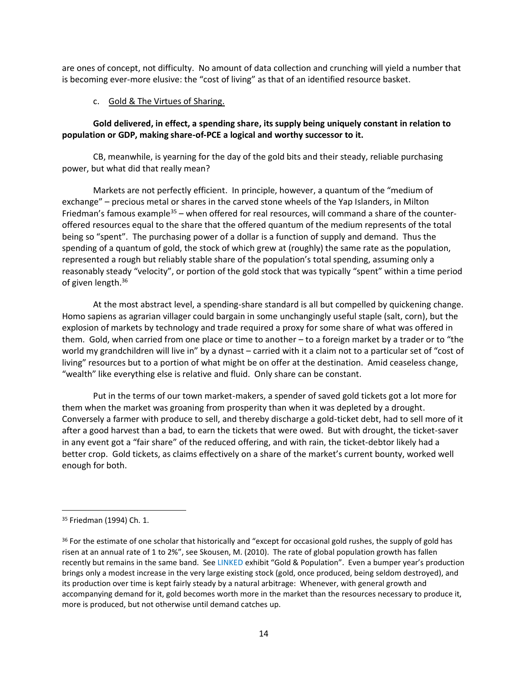are ones of concept, not difficulty. No amount of data collection and crunching will yield a number that is becoming ever-more elusive: the "cost of living" as that of an identified resource basket.

#### c. Gold & The Virtues of Sharing.

#### **Gold delivered, in effect, a spending share, its supply being uniquely constant in relation to population or GDP, making share-of-PCE a logical and worthy successor to it.**

CB, meanwhile, is yearning for the day of the gold bits and their steady, reliable purchasing power, but what did that really mean?

Markets are not perfectly efficient. In principle, however, a quantum of the "medium of exchange" – precious metal or shares in the carved stone wheels of the Yap Islanders, in Milton Friedman's famous example<sup>35</sup> – when offered for real resources, will command a share of the counteroffered resources equal to the share that the offered quantum of the medium represents of the total being so "spent". The purchasing power of a dollar is a function of supply and demand. Thus the spending of a quantum of gold, the stock of which grew at (roughly) the same rate as the population, represented a rough but reliably stable share of the population's total spending, assuming only a reasonably steady "velocity", or portion of the gold stock that was typically "spent" within a time period of given length. 36

At the most abstract level, a spending-share standard is all but compelled by quickening change. Homo sapiens as agrarian villager could bargain in some unchangingly useful staple (salt, corn), but the explosion of markets by technology and trade required a proxy for some share of what was offered in them. Gold, when carried from one place or time to another – to a foreign market by a trader or to "the world my grandchildren will live in" by a dynast – carried with it a claim not to a particular set of "cost of living" resources but to a portion of what might be on offer at the destination. Amid ceaseless change, "wealth" like everything else is relative and fluid. Only share can be constant.

Put in the terms of our town market-makers, a spender of saved gold tickets got a lot more for them when the market was groaning from prosperity than when it was depleted by a drought. Conversely a farmer with produce to sell, and thereby discharge a gold-ticket debt, had to sell more of it after a good harvest than a bad, to earn the tickets that were owed. But with drought, the ticket-saver in any event got a "fair share" of the reduced offering, and with rain, the ticket-debtor likely had a better crop. Gold tickets, as claims effectively on a share of the market's current bounty, worked well enough for both.

<sup>35</sup> Friedman (1994) Ch. 1.

<sup>&</sup>lt;sup>36</sup> For the estimate of one scholar that historically and "except for occasional gold rushes, the supply of gold has risen at an annual rate of 1 to 2%", see Skousen, M. (2010). The rate of global population growth has fallen recently but remains in the same band. Se[e LINKED](https://brandytrust.sharefile.com/d-sa84e2a551bdf4c1f820025436b8c13d9) exhibit "Gold & Population". Even a bumper year's production brings only a modest increase in the very large existing stock (gold, once produced, being seldom destroyed), and its production over time is kept fairly steady by a natural arbitrage: Whenever, with general growth and accompanying demand for it, gold becomes worth more in the market than the resources necessary to produce it, more is produced, but not otherwise until demand catches up.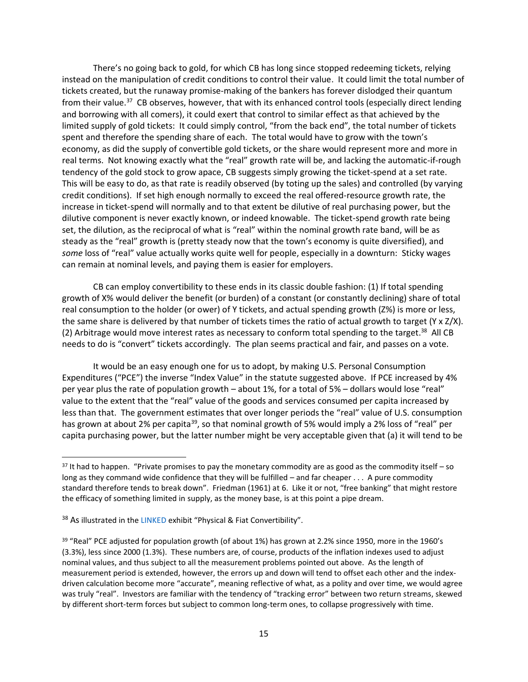There's no going back to gold, for which CB has long since stopped redeeming tickets, relying instead on the manipulation of credit conditions to control their value. It could limit the total number of tickets created, but the runaway promise-making of the bankers has forever dislodged their quantum from their value.<sup>37</sup> CB observes, however, that with its enhanced control tools (especially direct lending and borrowing with all comers), it could exert that control to similar effect as that achieved by the limited supply of gold tickets: It could simply control, "from the back end", the total number of tickets spent and therefore the spending share of each. The total would have to grow with the town's economy, as did the supply of convertible gold tickets, or the share would represent more and more in real terms. Not knowing exactly what the "real" growth rate will be, and lacking the automatic-if-rough tendency of the gold stock to grow apace, CB suggests simply growing the ticket-spend at a set rate. This will be easy to do, as that rate is readily observed (by toting up the sales) and controlled (by varying credit conditions). If set high enough normally to exceed the real offered-resource growth rate, the increase in ticket-spend will normally and to that extent be dilutive of real purchasing power, but the dilutive component is never exactly known, or indeed knowable. The ticket-spend growth rate being set, the dilution, as the reciprocal of what is "real" within the nominal growth rate band, will be as steady as the "real" growth is (pretty steady now that the town's economy is quite diversified), and *some* loss of "real" value actually works quite well for people, especially in a downturn: Sticky wages can remain at nominal levels, and paying them is easier for employers.

CB can employ convertibility to these ends in its classic double fashion: (1) If total spending growth of X% would deliver the benefit (or burden) of a constant (or constantly declining) share of total real consumption to the holder (or ower) of Y tickets, and actual spending growth (Z%) is more or less, the same share is delivered by that number of tickets times the ratio of actual growth to target (Y x Z/X). (2) Arbitrage would move interest rates as necessary to conform total spending to the target.<sup>38</sup> All CB needs to do is "convert" tickets accordingly. The plan seems practical and fair, and passes on a vote.

It would be an easy enough one for us to adopt, by making U.S. Personal Consumption Expenditures ("PCE") the inverse "Index Value" in the statute suggested above. If PCE increased by 4% per year plus the rate of population growth – about 1%, for a total of 5% – dollars would lose "real" value to the extent that the "real" value of the goods and services consumed per capita increased by less than that. The government estimates that over longer periods the "real" value of U.S. consumption has grown at about 2% per capita<sup>39</sup>, so that nominal growth of 5% would imply a 2% loss of "real" per capita purchasing power, but the latter number might be very acceptable given that (a) it will tend to be

 $37$  It had to happen. "Private promises to pay the monetary commodity are as good as the commodity itself – so long as they command wide confidence that they will be fulfilled – and far cheaper . . . A pure commodity standard therefore tends to break down". Friedman (1961) at 6. Like it or not, "free banking" that might restore the efficacy of something limited in supply, as the money base, is at this point a pipe dream.

<sup>&</sup>lt;sup>38</sup> As illustrated in th[e LINKED](https://brandytrust.sharefile.com/d-sa84e2a551bdf4c1f820025436b8c13d9) exhibit "Physical & Fiat Convertibility".

<sup>&</sup>lt;sup>39</sup> "Real" PCE adjusted for population growth (of about 1%) has grown at 2.2% since 1950, more in the 1960's (3.3%), less since 2000 (1.3%). These numbers are, of course, products of the inflation indexes used to adjust nominal values, and thus subject to all the measurement problems pointed out above. As the length of measurement period is extended, however, the errors up and down will tend to offset each other and the indexdriven calculation become more "accurate", meaning reflective of what, as a polity and over time, we would agree was truly "real". Investors are familiar with the tendency of "tracking error" between two return streams, skewed by different short-term forces but subject to common long-term ones, to collapse progressively with time.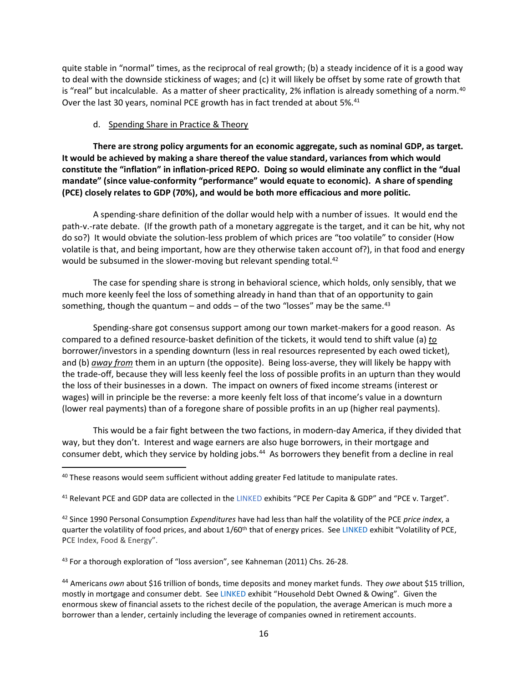quite stable in "normal" times, as the reciprocal of real growth; (b) a steady incidence of it is a good way to deal with the downside stickiness of wages; and (c) it will likely be offset by some rate of growth that is "real" but incalculable. As a matter of sheer practicality, 2% inflation is already something of a norm.<sup>40</sup> Over the last 30 years, nominal PCE growth has in fact trended at about 5%.<sup>41</sup>

#### d. Spending Share in Practice & Theory

**There are strong policy arguments for an economic aggregate, such as nominal GDP, as target. It would be achieved by making a share thereof the value standard, variances from which would constitute the "inflation" in inflation-priced REPO. Doing so would eliminate any conflict in the "dual mandate" (since value-conformity "performance" would equate to economic). A share of spending (PCE) closely relates to GDP (70%), and would be both more efficacious and more politic.**

A spending-share definition of the dollar would help with a number of issues. It would end the path-v.-rate debate. (If the growth path of a monetary aggregate is the target, and it can be hit, why not do so?) It would obviate the solution-less problem of which prices are "too volatile" to consider (How volatile is that, and being important, how are they otherwise taken account of?), in that food and energy would be subsumed in the slower-moving but relevant spending total.<sup>42</sup>

The case for spending share is strong in behavioral science, which holds, only sensibly, that we much more keenly feel the loss of something already in hand than that of an opportunity to gain something, though the quantum – and odds – of the two "losses" may be the same.<sup>43</sup>

Spending-share got consensus support among our town market-makers for a good reason. As compared to a defined resource-basket definition of the tickets, it would tend to shift value (a) *to* borrower/investors in a spending downturn (less in real resources represented by each owed ticket), and (b) *away from* them in an upturn (the opposite). Being loss-averse, they will likely be happy with the trade-off, because they will less keenly feel the loss of possible profits in an upturn than they would the loss of their businesses in a down. The impact on owners of fixed income streams (interest or wages) will in principle be the reverse: a more keenly felt loss of that income's value in a downturn (lower real payments) than of a foregone share of possible profits in an up (higher real payments).

This would be a fair fight between the two factions, in modern-day America, if they divided that way, but they don't. Interest and wage earners are also huge borrowers, in their mortgage and consumer debt, which they service by holding jobs.<sup>44</sup> As borrowers they benefit from a decline in real

<sup>41</sup> Relevant PCE and GDP data are collected in the [LINKED](https://brandytrust.sharefile.com/d-sa84e2a551bdf4c1f820025436b8c13d9) exhibits "PCE Per Capita & GDP" and "PCE v. Target".

43 For a thorough exploration of "loss aversion", see Kahneman (2011) Chs. 26-28.

 $40$  These reasons would seem sufficient without adding greater Fed latitude to manipulate rates.

<sup>42</sup> Since 1990 Personal Consumption *Expenditures* have had less than half the volatility of the PCE *price index*, a quarter the volatility of food prices, and about 1/60<sup>th</sup> that of energy prices. See [LINKED](https://brandytrust.sharefile.com/d-sa84e2a551bdf4c1f820025436b8c13d9) exhibit "Volatility of PCE, PCE Index, Food & Energy".

<sup>44</sup> Americans *own* about \$16 trillion of bonds, time deposits and money market funds. They *owe* about \$15 trillion, mostly in mortgage and consumer debt. See [LINKED](https://brandytrust.sharefile.com/d-sa84e2a551bdf4c1f820025436b8c13d9) exhibit "Household Debt Owned & Owing". Given the enormous skew of financial assets to the richest decile of the population, the average American is much more a borrower than a lender, certainly including the leverage of companies owned in retirement accounts.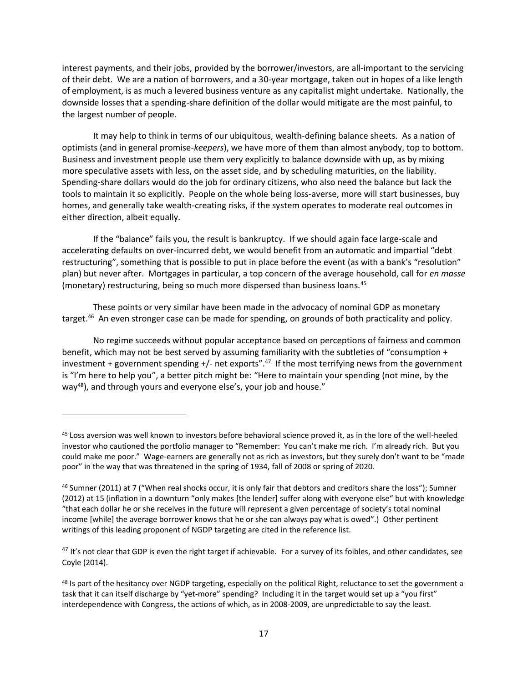interest payments, and their jobs, provided by the borrower/investors, are all-important to the servicing of their debt. We are a nation of borrowers, and a 30-year mortgage, taken out in hopes of a like length of employment, is as much a levered business venture as any capitalist might undertake. Nationally, the downside losses that a spending-share definition of the dollar would mitigate are the most painful, to the largest number of people.

It may help to think in terms of our ubiquitous, wealth-defining balance sheets. As a nation of optimists (and in general promise-*keepers*), we have more of them than almost anybody, top to bottom. Business and investment people use them very explicitly to balance downside with up, as by mixing more speculative assets with less, on the asset side, and by scheduling maturities, on the liability. Spending-share dollars would do the job for ordinary citizens, who also need the balance but lack the tools to maintain it so explicitly. People on the whole being loss-averse, more will start businesses, buy homes, and generally take wealth-creating risks, if the system operates to moderate real outcomes in either direction, albeit equally.

If the "balance" fails you, the result is bankruptcy. If we should again face large-scale and accelerating defaults on over-incurred debt, we would benefit from an automatic and impartial "debt restructuring", something that is possible to put in place before the event (as with a bank's "resolution" plan) but never after. Mortgages in particular, a top concern of the average household, call for *en masse* (monetary) restructuring, being so much more dispersed than business loans.<sup>45</sup>

These points or very similar have been made in the advocacy of nominal GDP as monetary target.<sup>46</sup> An even stronger case can be made for spending, on grounds of both practicality and policy.

No regime succeeds without popular acceptance based on perceptions of fairness and common benefit, which may not be best served by assuming familiarity with the subtleties of "consumption + investment + government spending +/- net exports". $47$  If the most terrifying news from the government is "I'm here to help you", a better pitch might be: "Here to maintain your spending (not mine, by the way<sup>48</sup>), and through yours and everyone else's, your job and house."

<sup>&</sup>lt;sup>45</sup> Loss aversion was well known to investors before behavioral science proved it, as in the lore of the well-heeled investor who cautioned the portfolio manager to "Remember: You can't make me rich. I'm already rich. But you could make me poor." Wage-earners are generally not as rich as investors, but they surely don't want to be "made poor" in the way that was threatened in the spring of 1934, fall of 2008 or spring of 2020.

<sup>46</sup> Sumner (2011) at 7 ("When real shocks occur, it is only fair that debtors and creditors share the loss"); Sumner (2012) at 15 (inflation in a downturn "only makes [the lender] suffer along with everyone else" but with knowledge "that each dollar he or she receives in the future will represent a given percentage of society's total nominal income [while] the average borrower knows that he or she can always pay what is owed".) Other pertinent writings of this leading proponent of NGDP targeting are cited in the reference list.

<sup>&</sup>lt;sup>47</sup> It's not clear that GDP is even the right target if achievable. For a survey of its foibles, and other candidates, see Coyle (2014).

<sup>&</sup>lt;sup>48</sup> Is part of the hesitancy over NGDP targeting, especially on the political Right, reluctance to set the government a task that it can itself discharge by "yet-more" spending? Including it in the target would set up a "you first" interdependence with Congress, the actions of which, as in 2008-2009, are unpredictable to say the least.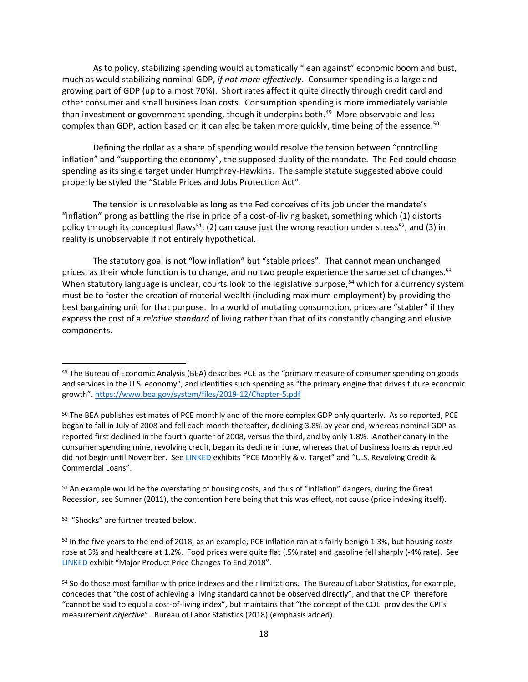As to policy, stabilizing spending would automatically "lean against" economic boom and bust, much as would stabilizing nominal GDP, *if not more effectively*. Consumer spending is a large and growing part of GDP (up to almost 70%). Short rates affect it quite directly through credit card and other consumer and small business loan costs. Consumption spending is more immediately variable than investment or government spending, though it underpins both.<sup>49</sup> More observable and less complex than GDP, action based on it can also be taken more quickly, time being of the essence.<sup>50</sup>

Defining the dollar as a share of spending would resolve the tension between "controlling inflation" and "supporting the economy", the supposed duality of the mandate. The Fed could choose spending as its single target under Humphrey-Hawkins. The sample statute suggested above could properly be styled the "Stable Prices and Jobs Protection Act".

The tension is unresolvable as long as the Fed conceives of its job under the mandate's "inflation" prong as battling the rise in price of a cost-of-living basket, something which (1) distorts policy through its conceptual flaws<sup>51</sup>, (2) can cause just the wrong reaction under stress<sup>52</sup>, and (3) in reality is unobservable if not entirely hypothetical.

The statutory goal is not "low inflation" but "stable prices". That cannot mean unchanged prices, as their whole function is to change, and no two people experience the same set of changes. 53 When statutory language is unclear, courts look to the legislative purpose,<sup>54</sup> which for a currency system must be to foster the creation of material wealth (including maximum employment) by providing the best bargaining unit for that purpose. In a world of mutating consumption, prices are "stabler" if they express the cost of a *relative standard* of living rather than that of its constantly changing and elusive components.

<sup>51</sup> An example would be the overstating of housing costs, and thus of "inflation" dangers, during the Great Recession, see Sumner (2011), the contention here being that this was effect, not cause (price indexing itself).

52 "Shocks" are further treated below.

<sup>&</sup>lt;sup>49</sup> The Bureau of Economic Analysis (BEA) describes PCE as the "primary measure of consumer spending on goods and services in the U.S. economy", and identifies such spending as "the primary engine that drives future economic growth". <https://www.bea.gov/system/files/2019-12/Chapter-5.pdf>

<sup>&</sup>lt;sup>50</sup> The BEA publishes estimates of PCE monthly and of the more complex GDP only quarterly. As so reported, PCE began to fall in July of 2008 and fell each month thereafter, declining 3.8% by year end, whereas nominal GDP as reported first declined in the fourth quarter of 2008, versus the third, and by only 1.8%. Another canary in the consumer spending mine, revolving credit, began its decline in June, whereas that of business loans as reported did not begin until November. Se[e LINKED](https://brandytrust.sharefile.com/d-sa84e2a551bdf4c1f820025436b8c13d9) exhibits "PCE Monthly & v. Target" and "U.S. Revolving Credit & Commercial Loans".

<sup>&</sup>lt;sup>53</sup> In the five years to the end of 2018, as an example, PCE inflation ran at a fairly benign 1.3%, but housing costs rose at 3% and healthcare at 1.2%. Food prices were quite flat (.5% rate) and gasoline fell sharply (-4% rate). See [LINKED](https://brandytrust.sharefile.com/d-sa84e2a551bdf4c1f820025436b8c13d9) exhibit "Major Product Price Changes To End 2018".

<sup>54</sup> So do those most familiar with price indexes and their limitations. The Bureau of Labor Statistics, for example, concedes that "the cost of achieving a living standard cannot be observed directly", and that the CPI therefore "cannot be said to equal a cost-of-living index", but maintains that "the concept of the COLI provides the CPI's measurement *objective*". Bureau of Labor Statistics (2018) (emphasis added).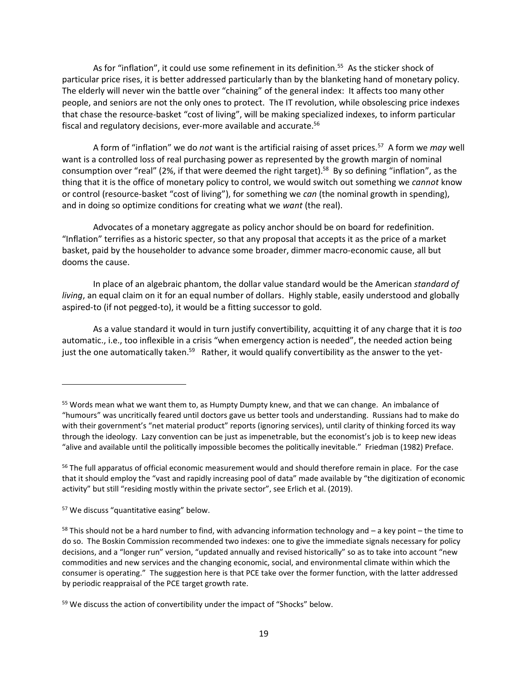As for "inflation", it could use some refinement in its definition.<sup>55</sup> As the sticker shock of particular price rises, it is better addressed particularly than by the blanketing hand of monetary policy. The elderly will never win the battle over "chaining" of the general index: It affects too many other people, and seniors are not the only ones to protect. The IT revolution, while obsolescing price indexes that chase the resource-basket "cost of living", will be making specialized indexes, to inform particular fiscal and regulatory decisions, ever-more available and accurate.<sup>56</sup>

A form of "inflation" we do *not* want is the artificial raising of asset prices.<sup>57</sup> A form we may well want is a controlled loss of real purchasing power as represented by the growth margin of nominal consumption over "real" (2%, if that were deemed the right target).<sup>58</sup> By so defining "inflation", as the thing that it is the office of monetary policy to control, we would switch out something we *cannot* know or control (resource-basket "cost of living"), for something we *can* (the nominal growth in spending), and in doing so optimize conditions for creating what we *want* (the real).

Advocates of a monetary aggregate as policy anchor should be on board for redefinition. "Inflation" terrifies as a historic specter, so that any proposal that accepts it as the price of a market basket, paid by the householder to advance some broader, dimmer macro-economic cause, all but dooms the cause.

In place of an algebraic phantom, the dollar value standard would be the American *standard of living*, an equal claim on it for an equal number of dollars. Highly stable, easily understood and globally aspired-to (if not pegged-to), it would be a fitting successor to gold.

As a value standard it would in turn justify convertibility, acquitting it of any charge that it is *too*  automatic., i.e., too inflexible in a crisis "when emergency action is needed", the needed action being just the one automatically taken.<sup>59</sup> Rather, it would qualify convertibility as the answer to the yet-

<sup>55</sup> Words mean what we want them to, as Humpty Dumpty knew, and that we can change. An imbalance of "humours" was uncritically feared until doctors gave us better tools and understanding. Russians had to make do with their government's "net material product" reports (ignoring services), until clarity of thinking forced its way through the ideology. Lazy convention can be just as impenetrable, but the economist's job is to keep new ideas "alive and available until the politically impossible becomes the politically inevitable." Friedman (1982) Preface.

<sup>&</sup>lt;sup>56</sup> The full apparatus of official economic measurement would and should therefore remain in place. For the case that it should employ the "vast and rapidly increasing pool of data" made available by "the digitization of economic activity" but still "residing mostly within the private sector", see Erlich et al. (2019).

<sup>57</sup> We discuss "quantitative easing" below.

 $58$  This should not be a hard number to find, with advancing information technology and  $-$  a key point – the time to do so. The Boskin Commission recommended two indexes: one to give the immediate signals necessary for policy decisions, and a "longer run" version, "updated annually and revised historically" so as to take into account "new commodities and new services and the changing economic, social, and environmental climate within which the consumer is operating." The suggestion here is that PCE take over the former function, with the latter addressed by periodic reappraisal of the PCE target growth rate.

<sup>&</sup>lt;sup>59</sup> We discuss the action of convertibility under the impact of "Shocks" below.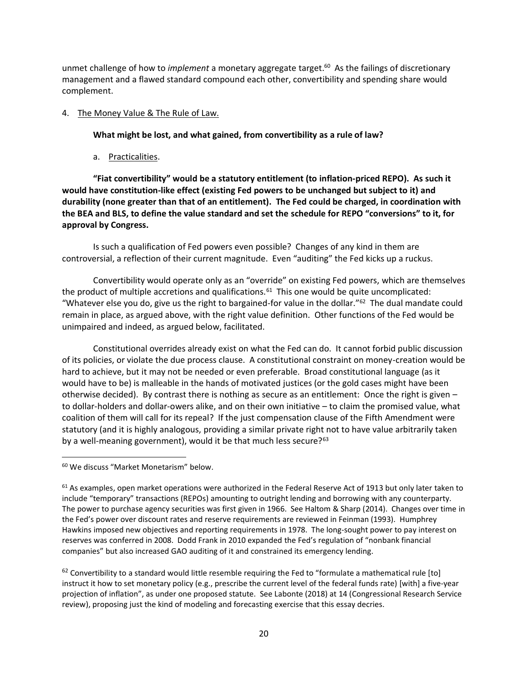unmet challenge of how to *implement* a monetary aggregate target. 60 As the failings of discretionary management and a flawed standard compound each other, convertibility and spending share would complement.

#### 4. The Money Value & The Rule of Law.

#### **What might be lost, and what gained, from convertibility as a rule of law?**

a. Practicalities.

**"Fiat convertibility" would be a statutory entitlement (to inflation-priced REPO). As such it would have constitution-like effect (existing Fed powers to be unchanged but subject to it) and durability (none greater than that of an entitlement). The Fed could be charged, in coordination with the BEA and BLS, to define the value standard and set the schedule for REPO "conversions" to it, for approval by Congress.** 

Is such a qualification of Fed powers even possible? Changes of any kind in them are controversial, a reflection of their current magnitude. Even "auditing" the Fed kicks up a ruckus.

Convertibility would operate only as an "override" on existing Fed powers, which are themselves the product of multiple accretions and qualifications. $61$  This one would be quite uncomplicated: "Whatever else you do, give us the right to bargained-for value in the dollar."<sup>62</sup> The dual mandate could remain in place, as argued above, with the right value definition. Other functions of the Fed would be unimpaired and indeed, as argued below, facilitated.

Constitutional overrides already exist on what the Fed can do. It cannot forbid public discussion of its policies, or violate the due process clause. A constitutional constraint on money-creation would be hard to achieve, but it may not be needed or even preferable. Broad constitutional language (as it would have to be) is malleable in the hands of motivated justices (or the gold cases might have been otherwise decided). By contrast there is nothing as secure as an entitlement: Once the right is given – to dollar-holders and dollar-owers alike, and on their own initiative – to claim the promised value, what coalition of them will call for its repeal? If the just compensation clause of the Fifth Amendment were statutory (and it is highly analogous, providing a similar private right not to have value arbitrarily taken by a well-meaning government), would it be that much less secure?<sup>63</sup>

<sup>60</sup> We discuss "Market Monetarism" below.

 $62$  Convertibility to a standard would little resemble requiring the Fed to "formulate a mathematical rule [to] instruct it how to set monetary policy (e.g., prescribe the current level of the federal funds rate) [with] a five-year projection of inflation", as under one proposed statute. See Labonte (2018) at 14 (Congressional Research Service review), proposing just the kind of modeling and forecasting exercise that this essay decries.

 $61$  As examples, open market operations were authorized in the Federal Reserve Act of 1913 but only later taken to include "temporary" transactions (REPOs) amounting to outright lending and borrowing with any counterparty. The power to purchase agency securities was first given in 1966. See Haltom & Sharp (2014). Changes over time in the Fed's power over discount rates and reserve requirements are reviewed in Feinman (1993). Humphrey Hawkins imposed new objectives and reporting requirements in 1978. The long-sought power to pay interest on reserves was conferred in 2008. Dodd Frank in 2010 expanded the Fed's regulation of "nonbank financial companies" but also increased GAO auditing of it and constrained its emergency lending.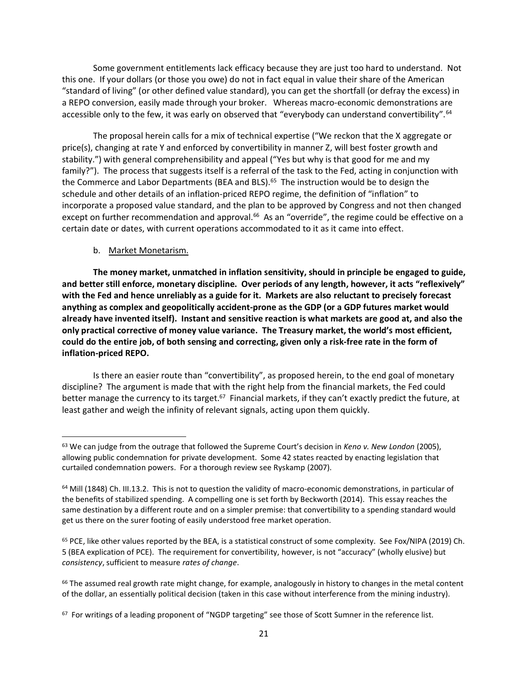Some government entitlements lack efficacy because they are just too hard to understand. Not this one. If your dollars (or those you owe) do not in fact equal in value their share of the American "standard of living" (or other defined value standard), you can get the shortfall (or defray the excess) in a REPO conversion, easily made through your broker. Whereas macro-economic demonstrations are accessible only to the few, it was early on observed that "everybody can understand convertibility".<sup>64</sup>

The proposal herein calls for a mix of technical expertise ("We reckon that the X aggregate or price(s), changing at rate Y and enforced by convertibility in manner Z, will best foster growth and stability.") with general comprehensibility and appeal ("Yes but why is that good for me and my family?"). The process that suggests itself is a referral of the task to the Fed, acting in conjunction with the Commerce and Labor Departments (BEA and BLS). <sup>65</sup> The instruction would be to design the schedule and other details of an inflation-priced REPO regime, the definition of "inflation" to incorporate a proposed value standard, and the plan to be approved by Congress and not then changed except on further recommendation and approval.<sup>66</sup> As an "override", the regime could be effective on a certain date or dates, with current operations accommodated to it as it came into effect.

#### b. Market Monetarism.

**The money market, unmatched in inflation sensitivity, should in principle be engaged to guide, and better still enforce, monetary discipline. Over periods of any length, however, it acts "reflexively" with the Fed and hence unreliably as a guide for it. Markets are also reluctant to precisely forecast anything as complex and geopolitically accident-prone as the GDP (or a GDP futures market would already have invented itself). Instant and sensitive reaction is what markets are good at, and also the only practical corrective of money value variance. The Treasury market, the world's most efficient, could do the entire job, of both sensing and correcting, given only a risk-free rate in the form of inflation-priced REPO.**

Is there an easier route than "convertibility", as proposed herein, to the end goal of monetary discipline? The argument is made that with the right help from the financial markets, the Fed could better manage the currency to its target.<sup>67</sup> Financial markets, if they can't exactly predict the future, at least gather and weigh the infinity of relevant signals, acting upon them quickly.

<sup>63</sup> We can judge from the outrage that followed the Supreme Court's decision in *Keno v. New London* (2005), allowing public condemnation for private development. Some 42 states reacted by enacting legislation that curtailed condemnation powers. For a thorough review see Ryskamp (2007).

 $64$  Mill (1848) Ch. III.13.2. This is not to question the validity of macro-economic demonstrations, in particular of the benefits of stabilized spending. A compelling one is set forth by Beckworth (2014). This essay reaches the same destination by a different route and on a simpler premise: that convertibility to a spending standard would get us there on the surer footing of easily understood free market operation.

<sup>&</sup>lt;sup>65</sup> PCE, like other values reported by the BEA, is a statistical construct of some complexity. See Fox/NIPA (2019) Ch. 5 (BEA explication of PCE). The requirement for convertibility, however, is not "accuracy" (wholly elusive) but *consistency*, sufficient to measure *rates of change*.

 $66$  The assumed real growth rate might change, for example, analogously in history to changes in the metal content of the dollar, an essentially political decision (taken in this case without interference from the mining industry).

 $67$  For writings of a leading proponent of "NGDP targeting" see those of Scott Sumner in the reference list.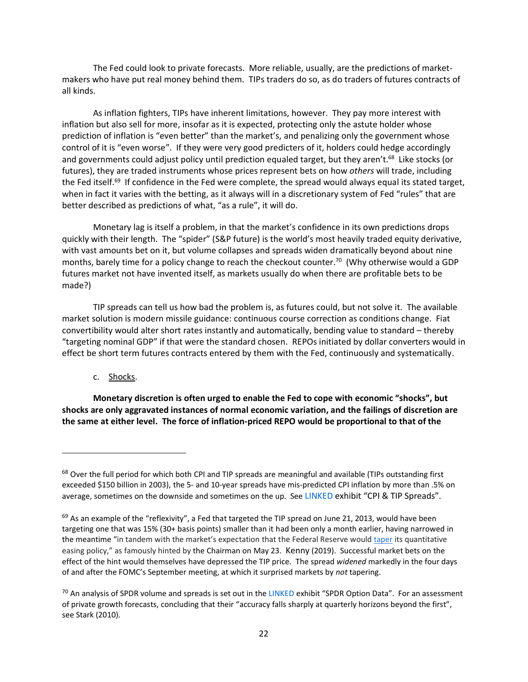The Fed could look to private forecasts. More reliable, usually, are the predictions of marketmakers who have put real money behind them. TIPs traders do so, as do traders of futures contracts of all kinds.

As inflation fighters, TIPs have inherent limitations, however. They pay more interest with inflation but also sell for more, insofar as it is expected, protecting only the astute holder whose prediction of inflation is "even better" than the market's, and penalizing only the government whose control of it is "even worse". If they were very good predicters of it, holders could hedge accordingly and governments could adjust policy until prediction equaled target, but they aren't.<sup>68</sup> Like stocks (or futures), they are traded instruments whose prices represent bets on how *others* will trade, including the Fed itself.<sup>69</sup> If confidence in the Fed were complete, the spread would always equal its stated target, when in fact it varies with the betting, as it always will in a discretionary system of Fed "rules" that are better described as predictions of what, "as a rule", it will do.

Monetary lag is itself a problem, in that the market's confidence in its own predictions drops quickly with their length. The "spider" (S&P future) is the world's most heavily traded equity derivative, with vast amounts bet on it, but volume collapses and spreads widen dramatically beyond about nine months, barely time for a policy change to reach the checkout counter. <sup>70</sup> (Why otherwise would a GDP futures market not have invented itself, as markets usually do when there are profitable bets to be made?)

TIP spreads can tell us how bad the problem is, as futures could, but not solve it. The available market solution is modern missile guidance: continuous course correction as conditions change. Fiat convertibility would alter short rates instantly and automatically, bending value to standard – thereby "targeting nominal GDP" if that were the standard chosen. REPOs initiated by dollar converters would in effect be short term futures contracts entered by them with the Fed, continuously and systematically.

c. Shocks.

**Monetary discretion is often urged to enable the Fed to cope with economic "shocks", but shocks are only aggravated instances of normal economic variation, and the failings of discretion are the same at either level. The force of inflation-priced REPO would be proportional to that of the**

<sup>68</sup> Over the full period for which both CPI and TIP spreads are meaningful and available (TIPs outstanding first exceeded \$150 billion in 2003), the 5- and 10-year spreads have mis-predicted CPI inflation by more than .5% on average, sometimes on the downside and sometimes on the up. See [LINKED](https://brandytrust.sharefile.com/d-sa84e2a551bdf4c1f820025436b8c13d9) exhibit "CPI & TIP Spreads".

 $69$  As an example of the "reflexivity", a Fed that targeted the TIP spread on June 21, 2013, would have been targeting one that was 15% (30+ basis points) smaller than it had been only a month earlier, having narrowed in the meantime "in tandem with the market's expectation that the Federal Reserve would [taper](https://www.thebalance.com/fed-tapering-impact-on-markets-416859) its quantitative easing policy," as famously hinted by the Chairman on May 23. Kenny (2019). Successful market bets on the effect of the hint would themselves have depressed the TIP price. The spread *widened* markedly in the four days of and after the FOMC's September meeting, at which it surprised markets by *not* tapering.

 $70$  An analysis of SPDR volume and spreads is set out in the [LINKED](https://brandytrust.sharefile.com/d-sa84e2a551bdf4c1f820025436b8c13d9) exhibit "SPDR Option Data". For an assessment of private growth forecasts, concluding that their "accuracy falls sharply at quarterly horizons beyond the first", see Stark (2010).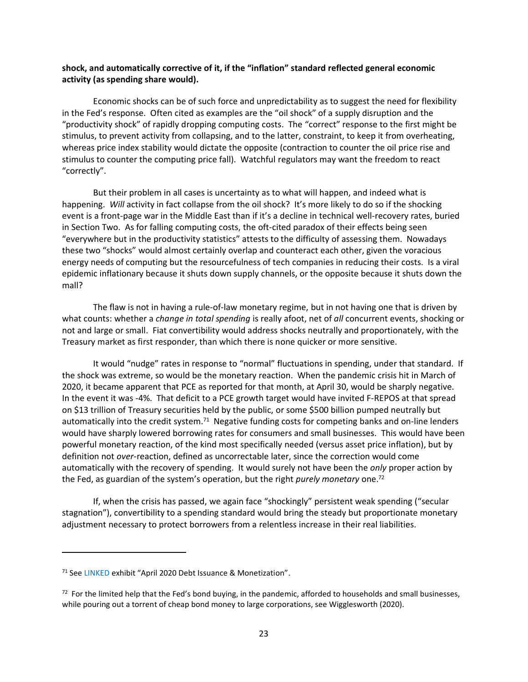#### **shock, and automatically corrective of it, if the "inflation" standard reflected general economic activity (as spending share would).**

Economic shocks can be of such force and unpredictability as to suggest the need for flexibility in the Fed's response. Often cited as examples are the "oil shock" of a supply disruption and the "productivity shock" of rapidly dropping computing costs. The "correct" response to the first might be stimulus, to prevent activity from collapsing, and to the latter, constraint, to keep it from overheating, whereas price index stability would dictate the opposite (contraction to counter the oil price rise and stimulus to counter the computing price fall). Watchful regulators may want the freedom to react "correctly".

But their problem in all cases is uncertainty as to what will happen, and indeed what is happening. Will activity in fact collapse from the oil shock? It's more likely to do so if the shocking event is a front-page war in the Middle East than if it's a decline in technical well-recovery rates, buried in Section Two. As for falling computing costs, the oft-cited paradox of their effects being seen "everywhere but in the productivity statistics" attests to the difficulty of assessing them. Nowadays these two "shocks" would almost certainly overlap and counteract each other, given the voracious energy needs of computing but the resourcefulness of tech companies in reducing their costs. Is a viral epidemic inflationary because it shuts down supply channels, or the opposite because it shuts down the mall?

The flaw is not in having a rule-of-law monetary regime, but in not having one that is driven by what counts: whether a *change in total spending* is really afoot, net of *all* concurrent events, shocking or not and large or small. Fiat convertibility would address shocks neutrally and proportionately, with the Treasury market as first responder, than which there is none quicker or more sensitive.

It would "nudge" rates in response to "normal" fluctuations in spending, under that standard. If the shock was extreme, so would be the monetary reaction. When the pandemic crisis hit in March of 2020, it became apparent that PCE as reported for that month, at April 30, would be sharply negative. In the event it was -4%. That deficit to a PCE growth target would have invited F-REPOS at that spread on \$13 trillion of Treasury securities held by the public, or some \$500 billion pumped neutrally but automatically into the credit system.<sup>71</sup> Negative funding costs for competing banks and on-line lenders would have sharply lowered borrowing rates for consumers and small businesses. This would have been powerful monetary reaction, of the kind most specifically needed (versus asset price inflation), but by definition not *over*-reaction, defined as uncorrectable later, since the correction would come automatically with the recovery of spending. It would surely not have been the *only* proper action by the Fed, as guardian of the system's operation, but the right *purely monetary* one.<sup>72</sup>

If, when the crisis has passed, we again face "shockingly" persistent weak spending ("secular stagnation"), convertibility to a spending standard would bring the steady but proportionate monetary adjustment necessary to protect borrowers from a relentless increase in their real liabilities.

<sup>71</sup> Se[e LINKED](https://brandytrust.sharefile.com/d-sa84e2a551bdf4c1f820025436b8c13d9) exhibit "April 2020 Debt Issuance & Monetization".

 $72$  For the limited help that the Fed's bond buying, in the pandemic, afforded to households and small businesses, while pouring out a torrent of cheap bond money to large corporations, see Wigglesworth (2020).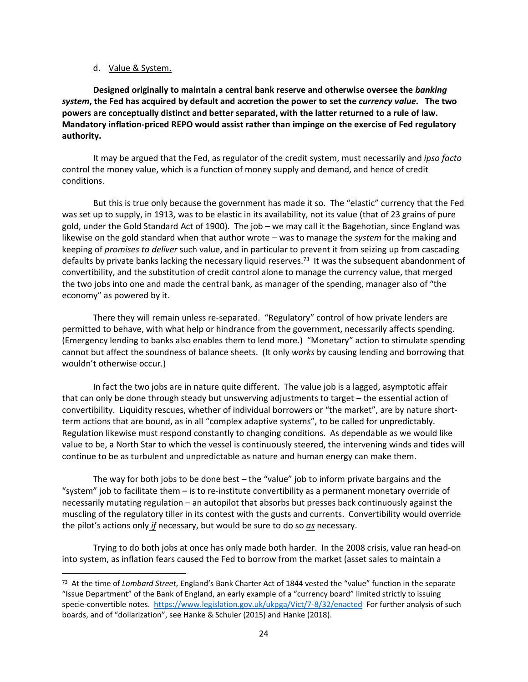#### d. Value & System.

**Designed originally to maintain a central bank reserve and otherwise oversee the** *banking system***, the Fed has acquired by default and accretion the power to set the** *currency value***. The two powers are conceptually distinct and better separated, with the latter returned to a rule of law. Mandatory inflation-priced REPO would assist rather than impinge on the exercise of Fed regulatory authority.** 

It may be argued that the Fed, as regulator of the credit system, must necessarily and *ipso facto* control the money value, which is a function of money supply and demand, and hence of credit conditions.

But this is true only because the government has made it so. The "elastic" currency that the Fed was set up to supply, in 1913, was to be elastic in its availability, not its value (that of 23 grains of pure gold, under the Gold Standard Act of 1900). The job – we may call it the Bagehotian, since England was likewise on the gold standard when that author wrote – was to manage the *system* for the making and keeping of *promises to deliver* such value, and in particular to prevent it from seizing up from cascading defaults by private banks lacking the necessary liquid reserves.<sup>73</sup> It was the subsequent abandonment of convertibility, and the substitution of credit control alone to manage the currency value, that merged the two jobs into one and made the central bank, as manager of the spending, manager also of "the economy" as powered by it.

There they will remain unless re-separated. "Regulatory" control of how private lenders are permitted to behave, with what help or hindrance from the government, necessarily affects spending. (Emergency lending to banks also enables them to lend more.) "Monetary" action to stimulate spending cannot but affect the soundness of balance sheets. (It only *works* by causing lending and borrowing that wouldn't otherwise occur.)

In fact the two jobs are in nature quite different. The value job is a lagged, asymptotic affair that can only be done through steady but unswerving adjustments to target – the essential action of convertibility. Liquidity rescues, whether of individual borrowers or "the market", are by nature shortterm actions that are bound, as in all "complex adaptive systems", to be called for unpredictably. Regulation likewise must respond constantly to changing conditions. As dependable as we would like value to be, a North Star to which the vessel is continuously steered, the intervening winds and tides will continue to be as turbulent and unpredictable as nature and human energy can make them.

The way for both jobs to be done best – the "value" job to inform private bargains and the "system" job to facilitate them – is to re-institute convertibility as a permanent monetary override of necessarily mutating regulation – an autopilot that absorbs but presses back continuously against the muscling of the regulatory tiller in its contest with the gusts and currents. Convertibility would override the pilot's actions only *if* necessary, but would be sure to do so *as* necessary.

Trying to do both jobs at once has only made both harder. In the 2008 crisis, value ran head-on into system, as inflation fears caused the Fed to borrow from the market (asset sales to maintain a

<sup>73</sup> At the time of *Lombard Street*, England's Bank Charter Act of 1844 vested the "value" function in the separate "Issue Department" of the Bank of England, an early example of a "currency board" limited strictly to issuing specie-convertible notes.<https://www.legislation.gov.uk/ukpga/Vict/7-8/32/enacted>For further analysis of such boards, and of "dollarization", see Hanke & Schuler (2015) and Hanke (2018).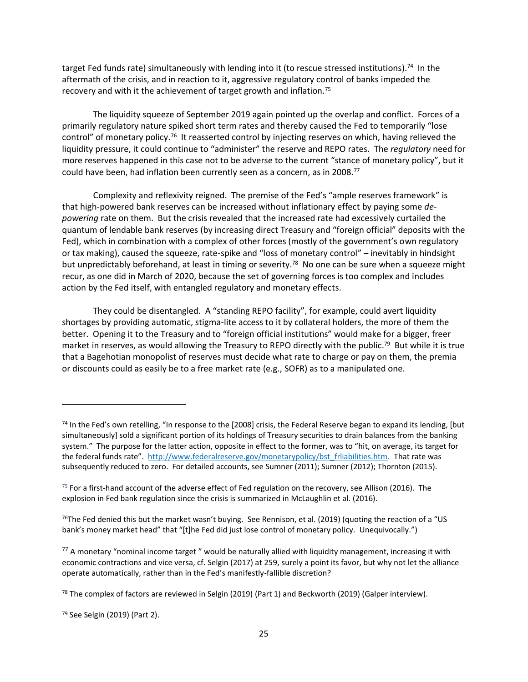target Fed funds rate) simultaneously with lending into it (to rescue stressed institutions).<sup>74</sup> In the aftermath of the crisis, and in reaction to it, aggressive regulatory control of banks impeded the recovery and with it the achievement of target growth and inflation.<sup>75</sup>

The liquidity squeeze of September 2019 again pointed up the overlap and conflict. Forces of a primarily regulatory nature spiked short term rates and thereby caused the Fed to temporarily "lose control" of monetary policy.<sup>76</sup> It reasserted control by injecting reserves on which, having relieved the liquidity pressure, it could continue to "administer" the reserve and REPO rates. The *regulatory* need for more reserves happened in this case not to be adverse to the current "stance of monetary policy", but it could have been, had inflation been currently seen as a concern, as in 2008. 77

Complexity and reflexivity reigned. The premise of the Fed's "ample reserves framework" is that high-powered bank reserves can be increased without inflationary effect by paying some *depowering* rate on them. But the crisis revealed that the increased rate had excessively curtailed the quantum of lendable bank reserves (by increasing direct Treasury and "foreign official" deposits with the Fed), which in combination with a complex of other forces (mostly of the government's own regulatory or tax making), caused the squeeze, rate-spike and "loss of monetary control" – inevitably in hindsight but unpredictably beforehand, at least in timing or severity.<sup>78</sup> No one can be sure when a squeeze might recur, as one did in March of 2020, because the set of governing forces is too complex and includes action by the Fed itself, with entangled regulatory and monetary effects.

They could be disentangled. A "standing REPO facility", for example, could avert liquidity shortages by providing automatic, stigma-lite access to it by collateral holders, the more of them the better. Opening it to the Treasury and to "foreign official institutions" would make for a bigger, freer market in reserves, as would allowing the Treasury to REPO directly with the public.<sup>79</sup> But while it is true that a Bagehotian monopolist of reserves must decide what rate to charge or pay on them, the premia or discounts could as easily be to a free market rate (e.g., SOFR) as to a manipulated one.

 $74$  In the Fed's own retelling, "In response to the [2008] crisis, the Federal Reserve began to expand its lending, [but simultaneously] sold a significant portion of its holdings of Treasury securities to drain balances from the banking system." The purpose for the latter action, opposite in effect to the former, was to "hit, on average, its target for the federal funds rate". [http://www.federalreserve.gov/monetarypolicy/bst\\_frliabilities.htm.](http://www.federalreserve.gov/monetarypolicy/bst_frliabilities.htm) That rate was subsequently reduced to zero. For detailed accounts, see Sumner (2011); Sumner (2012); Thornton (2015).

 $75$  For a first-hand account of the adverse effect of Fed regulation on the recovery, see Allison (2016). The explosion in Fed bank regulation since the crisis is summarized in McLaughlin et al. (2016).

<sup>&</sup>lt;sup>76</sup>The Fed denied this but the market wasn't buying. See Rennison, et al. (2019) (quoting the reaction of a "US bank's money market head" that "[t]he Fed did just lose control of monetary policy. Unequivocally.")

 $77$  A monetary "nominal income target" would be naturally allied with liquidity management, increasing it with economic contractions and vice versa, cf. Selgin (2017) at 259, surely a point its favor, but why not let the alliance operate automatically, rather than in the Fed's manifestly-fallible discretion?

<sup>&</sup>lt;sup>78</sup> The complex of factors are reviewed in Selgin (2019) (Part 1) and Beckworth (2019) (Galper interview).

<sup>79</sup> See Selgin (2019) (Part 2).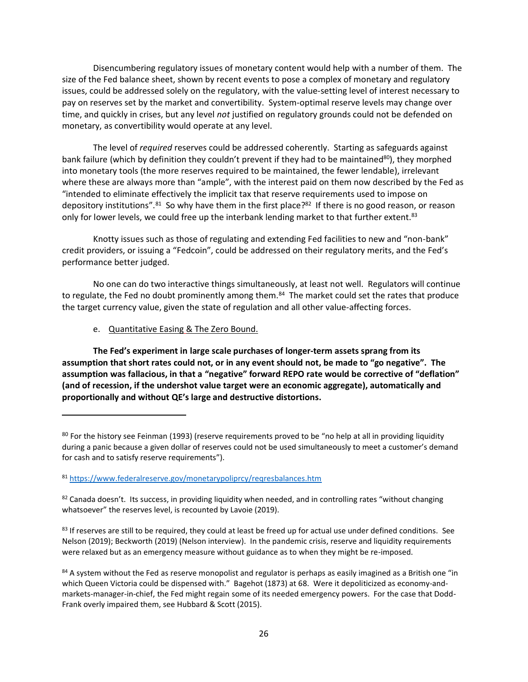Disencumbering regulatory issues of monetary content would help with a number of them. The size of the Fed balance sheet, shown by recent events to pose a complex of monetary and regulatory issues, could be addressed solely on the regulatory, with the value-setting level of interest necessary to pay on reserves set by the market and convertibility. System-optimal reserve levels may change over time, and quickly in crises, but any level *not* justified on regulatory grounds could not be defended on monetary, as convertibility would operate at any level.

The level of *required* reserves could be addressed coherently. Starting as safeguards against bank failure (which by definition they couldn't prevent if they had to be maintained<sup>80</sup>), they morphed into monetary tools (the more reserves required to be maintained, the fewer lendable), irrelevant where these are always more than "ample", with the interest paid on them now described by the Fed as "intended to eliminate effectively the implicit tax that reserve requirements used to impose on depository institutions".<sup>81</sup> So why have them in the first place?<sup>82</sup> If there is no good reason, or reason only for lower levels, we could free up the interbank lending market to that further extent.<sup>83</sup>

Knotty issues such as those of regulating and extending Fed facilities to new and "non-bank" credit providers, or issuing a "Fedcoin", could be addressed on their regulatory merits, and the Fed's performance better judged.

No one can do two interactive things simultaneously, at least not well. Regulators will continue to regulate, the Fed no doubt prominently among them.<sup>84</sup> The market could set the rates that produce the target currency value, given the state of regulation and all other value-affecting forces.

e. Quantitative Easing & The Zero Bound.

**The Fed's experiment in large scale purchases of longer-term assets sprang from its assumption that short rates could not, or in any event should not, be made to "go negative". The assumption was fallacious, in that a "negative" forward REPO rate would be corrective of "deflation" (and of recession, if the undershot value target were an economic aggregate), automatically and proportionally and without QE's large and destructive distortions.**

<sup>&</sup>lt;sup>80</sup> For the history see Feinman (1993) (reserve requirements proved to be "no help at all in providing liquidity during a panic because a given dollar of reserves could not be used simultaneously to meet a customer's demand for cash and to satisfy reserve requirements").

<sup>81</sup> <https://www.federalreserve.gov/monetarypoliprcy/reqresbalances.htm>

 $82$  Canada doesn't. Its success, in providing liquidity when needed, and in controlling rates "without changing whatsoever" the reserves level, is recounted by Lavoie (2019).

<sup>83</sup> If reserves are still to be required, they could at least be freed up for actual use under defined conditions. See Nelson (2019); Beckworth (2019) (Nelson interview). In the pandemic crisis, reserve and liquidity requirements were relaxed but as an emergency measure without guidance as to when they might be re-imposed.

<sup>84</sup> A system without the Fed as reserve monopolist and regulator is perhaps as easily imagined as a British one "in which Queen Victoria could be dispensed with." Bagehot (1873) at 68. Were it depoliticized as economy-andmarkets-manager-in-chief, the Fed might regain some of its needed emergency powers. For the case that Dodd-Frank overly impaired them, see Hubbard & Scott (2015).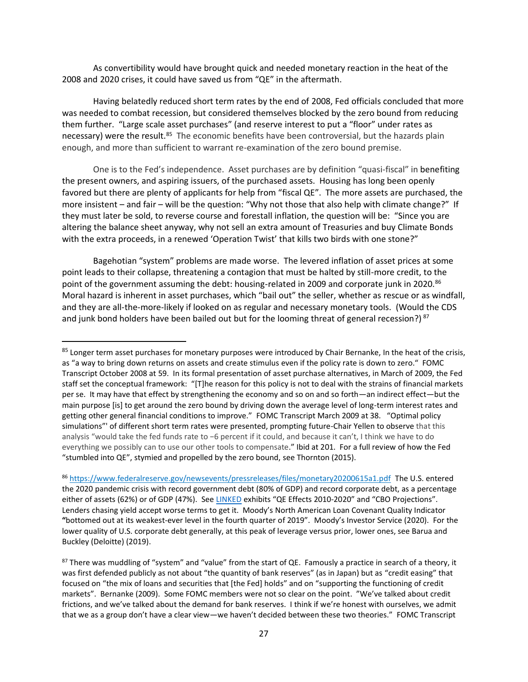As convertibility would have brought quick and needed monetary reaction in the heat of the 2008 and 2020 crises, it could have saved us from "QE" in the aftermath.

Having belatedly reduced short term rates by the end of 2008, Fed officials concluded that more was needed to combat recession, but considered themselves blocked by the zero bound from reducing them further. "Large scale asset purchases" (and reserve interest to put a "floor" under rates as necessary) were the result.<sup>85</sup> The economic benefits have been controversial, but the hazards plain enough, and more than sufficient to warrant re-examination of the zero bound premise.

One is to the Fed's independence. Asset purchases are by definition "quasi-fiscal" in benefiting the present owners, and aspiring issuers, of the purchased assets. Housing has long been openly favored but there are plenty of applicants for help from "fiscal QE". The more assets are purchased, the more insistent – and fair – will be the question: "Why not those that also help with climate change?" If they must later be sold, to reverse course and forestall inflation, the question will be: "Since you are altering the balance sheet anyway, why not sell an extra amount of Treasuries and buy Climate Bonds with the extra proceeds, in a renewed 'Operation Twist' that kills two birds with one stone?"

Bagehotian "system" problems are made worse. The levered inflation of asset prices at some point leads to their collapse, threatening a contagion that must be halted by still-more credit, to the point of the government assuming the debt: housing-related in 2009 and corporate junk in 2020.<sup>86</sup> Moral hazard is inherent in asset purchases, which "bail out" the seller, whether as rescue or as windfall, and they are all-the-more-likely if looked on as regular and necessary monetary tools. (Would the CDS and junk bond holders have been bailed out but for the looming threat of general recession?)<sup>87</sup>

<sup>86</sup> <https://www.federalreserve.gov/newsevents/pressreleases/files/monetary20200615a1.pdf> The U.S. entered the 2020 pandemic crisis with record government debt (80% of GDP) and record corporate debt, as a percentage either of assets (62%) or of GDP (47%). Se[e LINKED](https://brandytrust.sharefile.com/d-sa84e2a551bdf4c1f820025436b8c13d9) exhibits "QE Effects 2010-2020" and "CBO Projections". Lenders chasing yield accept worse terms to get it. Moody's North American Loan Covenant Quality Indicator **"**bottomed out at its weakest-ever level in the fourth quarter of 2019". Moody's Investor Service (2020). For the lower quality of U.S. corporate debt generally, at this peak of leverage versus prior, lower ones, see Barua and Buckley (Deloitte) (2019).

<sup>&</sup>lt;sup>85</sup> Longer term asset purchases for monetary purposes were introduced by Chair Bernanke, In the heat of the crisis, as "a way to bring down returns on assets and create stimulus even if the policy rate is down to zero." FOMC Transcript October 2008 at 59. In its formal presentation of asset purchase alternatives, in March of 2009, the Fed staff set the conceptual framework: "[T]he reason for this policy is not to deal with the strains of financial markets per se. It may have that effect by strengthening the economy and so on and so forth—an indirect effect—but the main purpose [is] to get around the zero bound by driving down the average level of long-term interest rates and getting other general financial conditions to improve." FOMC Transcript March 2009 at 38. "Optimal policy simulations"' of different short term rates were presented, prompting future-Chair Yellen to observe that this analysis "would take the fed funds rate to −6 percent if it could, and because it can't, I think we have to do everything we possibly can to use our other tools to compensate." Ibid at 201. For a full review of how the Fed "stumbled into QE", stymied and propelled by the zero bound, see Thornton (2015).

<sup>87</sup> There was muddling of "system" and "value" from the start of QE. Famously a practice in search of a theory, it was first defended publicly as not about "the quantity of bank reserves" (as in Japan) but as "credit easing" that focused on "the mix of loans and securities that [the Fed] holds" and on "supporting the functioning of credit markets". Bernanke (2009). Some FOMC members were not so clear on the point. "We've talked about credit frictions, and we've talked about the demand for bank reserves. I think if we're honest with ourselves, we admit that we as a group don't have a clear view—we haven't decided between these two theories." FOMC Transcript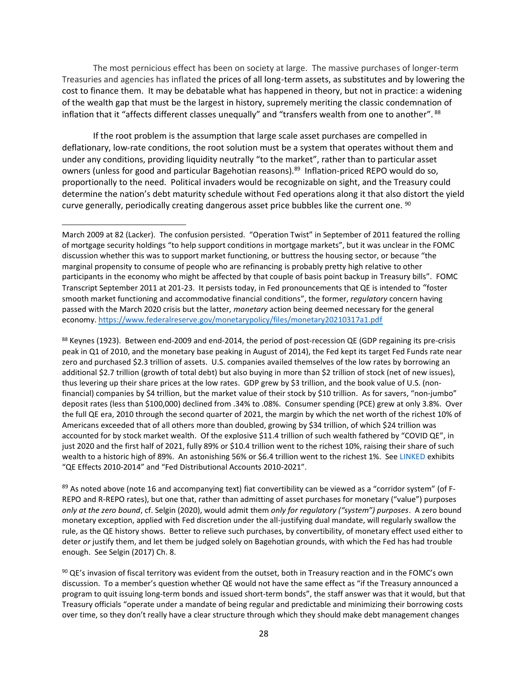The most pernicious effect has been on society at large. The massive purchases of longer-term Treasuries and agencies has inflated the prices of all long-term assets, as substitutes and by lowering the cost to finance them. It may be debatable what has happened in theory, but not in practice: a widening of the wealth gap that must be the largest in history, supremely meriting the classic condemnation of inflation that it "affects different classes unequally" and "transfers wealth from one to another". 88

If the root problem is the assumption that large scale asset purchases are compelled in deflationary, low-rate conditions, the root solution must be a system that operates without them and under any conditions, providing liquidity neutrally "to the market", rather than to particular asset owners (unless for good and particular Bagehotian reasons). <sup>89</sup> Inflation-priced REPO would do so, proportionally to the need. Political invaders would be recognizable on sight, and the Treasury could determine the nation's debt maturity schedule without Fed operations along it that also distort the yield curve generally, periodically creating dangerous asset price bubbles like the current one. <sup>90</sup>

88 Keynes (1923). Between end-2009 and end-2014, the period of post-recession QE (GDP regaining its pre-crisis peak in Q1 of 2010, and the monetary base peaking in August of 2014), the Fed kept its target Fed Funds rate near zero and purchased \$2.3 trillion of assets. U.S. companies availed themselves of the low rates by borrowing an additional \$2.7 trillion (growth of total debt) but also buying in more than \$2 trillion of stock (net of new issues), thus levering up their share prices at the low rates. GDP grew by \$3 trillion, and the book value of U.S. (nonfinancial) companies by \$4 trillion, but the market value of their stock by \$10 trillion. As for savers, "non-jumbo" deposit rates (less than \$100,000) declined from .34% to .08%. Consumer spending (PCE) grew at only 3.8%. Over the full QE era, 2010 through the second quarter of 2021, the margin by which the net worth of the richest 10% of Americans exceeded that of all others more than doubled, growing by \$34 trillion, of which \$24 trillion was accounted for by stock market wealth. Of the explosive \$11.4 trillion of such wealth fathered by "COVID QE", in just 2020 and the first half of 2021, fully 89% or \$10.4 trillion went to the richest 10%, raising their share of such wealth to a historic high of 89%. An astonishing 56% or \$6.4 trillion went to the richest 1%. See [LINKED](https://brandytrust.sharefile.com/d-sa84e2a551bdf4c1f820025436b8c13d9) exhibits "QE Effects 2010-2014" and "Fed Distributional Accounts 2010-2021".

 $89$  As noted above (note 16 and accompanying text) fiat convertibility can be viewed as a "corridor system" (of F-REPO and R-REPO rates), but one that, rather than admitting of asset purchases for monetary ("value") purposes *only at the zero bound*, cf. Selgin (2020), would admit them *only for regulatory ("system") purposes*. A zero bound monetary exception, applied with Fed discretion under the all-justifying dual mandate, will regularly swallow the rule, as the QE history shows. Better to relieve such purchases, by convertibility, of monetary effect used either to deter *or* justify them, and let them be judged solely on Bagehotian grounds, with which the Fed has had trouble enough. See Selgin (2017) Ch. 8.

<sup>90</sup> QE's invasion of fiscal territory was evident from the outset, both in Treasury reaction and in the FOMC's own discussion. To a member's question whether QE would not have the same effect as "if the Treasury announced a program to quit issuing long-term bonds and issued short-term bonds", the staff answer was that it would, but that Treasury officials "operate under a mandate of being regular and predictable and minimizing their borrowing costs over time, so they don't really have a clear structure through which they should make debt management changes

March 2009 at 82 (Lacker). The confusion persisted. "Operation Twist" in September of 2011 featured the rolling of mortgage security holdings "to help support conditions in mortgage markets", but it was unclear in the FOMC discussion whether this was to support market functioning, or buttress the housing sector, or because "the marginal propensity to consume of people who are refinancing is probably pretty high relative to other participants in the economy who might be affected by that couple of basis point backup in Treasury bills". FOMC Transcript September 2011 at 201-23. It persists today, in Fed pronouncements that QE is intended to "foster smooth market functioning and accommodative financial conditions", the former, *regulatory* concern having passed with the March 2020 crisis but the latter, *monetary* action being deemed necessary for the general economy[. https://www.federalreserve.gov/monetarypolicy/files/monetary20210317a1.pdf](https://www.federalreserve.gov/monetarypolicy/files/monetary20210317a1.pdf)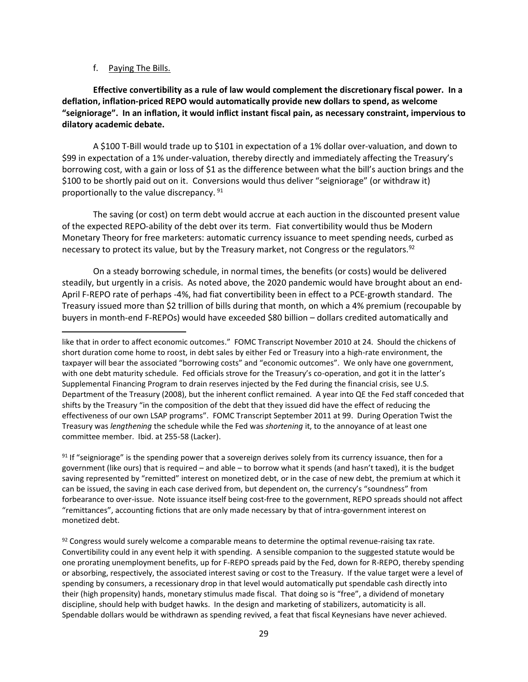#### f. Paying The Bills.

**Effective convertibility as a rule of law would complement the discretionary fiscal power. In a deflation, inflation-priced REPO would automatically provide new dollars to spend, as welcome "seigniorage". In an inflation, it would inflict instant fiscal pain, as necessary constraint, impervious to dilatory academic debate.**

A \$100 T-Bill would trade up to \$101 in expectation of a 1% dollar over-valuation, and down to \$99 in expectation of a 1% under-valuation, thereby directly and immediately affecting the Treasury's borrowing cost, with a gain or loss of \$1 as the difference between what the bill's auction brings and the \$100 to be shortly paid out on it. Conversions would thus deliver "seigniorage" (or withdraw it) proportionally to the value discrepancy. <sup>91</sup>

The saving (or cost) on term debt would accrue at each auction in the discounted present value of the expected REPO-ability of the debt over its term. Fiat convertibility would thus be Modern Monetary Theory for free marketers: automatic currency issuance to meet spending needs, curbed as necessary to protect its value, but by the Treasury market, not Congress or the regulators.<sup>92</sup>

On a steady borrowing schedule, in normal times, the benefits (or costs) would be delivered steadily, but urgently in a crisis. As noted above, the 2020 pandemic would have brought about an end-April F-REPO rate of perhaps -4%, had fiat convertibility been in effect to a PCE-growth standard. The Treasury issued more than \$2 trillion of bills during that month, on which a 4% premium (recoupable by buyers in month-end F-REPOs) would have exceeded \$80 billion – dollars credited automatically and

 $91$  If "seigniorage" is the spending power that a sovereign derives solely from its currency issuance, then for a government (like ours) that is required – and able – to borrow what it spends (and hasn't taxed), it is the budget saving represented by "remitted" interest on monetized debt, or in the case of new debt, the premium at which it can be issued, the saving in each case derived from, but dependent on, the currency's "soundness" from forbearance to over-issue. Note issuance itself being cost-free to the government, REPO spreads should not affect "remittances", accounting fictions that are only made necessary by that of intra-government interest on monetized debt.

 $92$  Congress would surely welcome a comparable means to determine the optimal revenue-raising tax rate. Convertibility could in any event help it with spending. A sensible companion to the suggested statute would be one prorating unemployment benefits, up for F-REPO spreads paid by the Fed, down for R-REPO, thereby spending or absorbing, respectively, the associated interest saving or cost to the Treasury. If the value target were a level of spending by consumers, a recessionary drop in that level would automatically put spendable cash directly into their (high propensity) hands, monetary stimulus made fiscal. That doing so is "free", a dividend of monetary discipline, should help with budget hawks. In the design and marketing of stabilizers, automaticity is all. Spendable dollars would be withdrawn as spending revived, a feat that fiscal Keynesians have never achieved.

like that in order to affect economic outcomes." FOMC Transcript November 2010 at 24. Should the chickens of short duration come home to roost, in debt sales by either Fed or Treasury into a high-rate environment, the taxpayer will bear the associated "borrowing costs" and "economic outcomes". We only have one government, with one debt maturity schedule. Fed officials strove for the Treasury's co-operation, and got it in the latter's Supplemental Financing Program to drain reserves injected by the Fed during the financial crisis, see U.S. Department of the Treasury (2008), but the inherent conflict remained. A year into QE the Fed staff conceded that shifts by the Treasury "in the composition of the debt that they issued did have the effect of reducing the effectiveness of our own LSAP programs". FOMC Transcript September 2011 at 99. During Operation Twist the Treasury was *lengthening* the schedule while the Fed was *shortening* it, to the annoyance of at least one committee member. Ibid. at 255-58 (Lacker).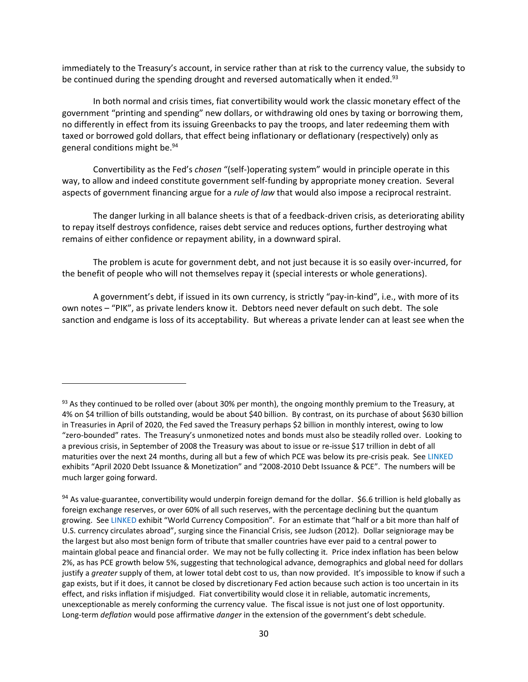immediately to the Treasury's account, in service rather than at risk to the currency value, the subsidy to be continued during the spending drought and reversed automatically when it ended.<sup>93</sup>

In both normal and crisis times, fiat convertibility would work the classic monetary effect of the government "printing and spending" new dollars, or withdrawing old ones by taxing or borrowing them, no differently in effect from its issuing Greenbacks to pay the troops, and later redeeming them with taxed or borrowed gold dollars, that effect being inflationary or deflationary (respectively) only as general conditions might be. 94

Convertibility as the Fed's *chosen* "(self-)operating system" would in principle operate in this way, to allow and indeed constitute government self-funding by appropriate money creation. Several aspects of government financing argue for a *rule of law* that would also impose a reciprocal restraint.

The danger lurking in all balance sheets is that of a feedback-driven crisis, as deteriorating ability to repay itself destroys confidence, raises debt service and reduces options, further destroying what remains of either confidence or repayment ability, in a downward spiral.

The problem is acute for government debt, and not just because it is so easily over-incurred, for the benefit of people who will not themselves repay it (special interests or whole generations).

A government's debt, if issued in its own currency, is strictly "pay-in-kind", i.e., with more of its own notes – "PIK", as private lenders know it. Debtors need never default on such debt. The sole sanction and endgame is loss of its acceptability. But whereas a private lender can at least see when the

<sup>93</sup> As they continued to be rolled over (about 30% per month), the ongoing monthly premium to the Treasury, at 4% on \$4 trillion of bills outstanding, would be about \$40 billion. By contrast, on its purchase of about \$630 billion in Treasuries in April of 2020, the Fed saved the Treasury perhaps \$2 billion in monthly interest, owing to low "zero-bounded" rates. The Treasury's unmonetized notes and bonds must also be steadily rolled over. Looking to a previous crisis, in September of 2008 the Treasury was about to issue or re-issue \$17 trillion in debt of all maturities over the next 24 months, during all but a few of which PCE was below its pre-crisis peak. See [LINKED](https://brandytrust.sharefile.com/d-sa84e2a551bdf4c1f820025436b8c13d9) exhibits "April 2020 Debt Issuance & Monetization" and "2008-2010 Debt Issuance & PCE". The numbers will be much larger going forward.

<sup>94</sup> As value-guarantee, convertibility would underpin foreign demand for the dollar. \$6.6 trillion is held globally as foreign exchange reserves, or over 60% of all such reserves, with the percentage declining but the quantum growing. Se[e LINKED](https://brandytrust.sharefile.com/d-sa84e2a551bdf4c1f820025436b8c13d9) exhibit "World Currency Composition". For an estimate that "half or a bit more than half of U.S. currency circulates abroad", surging since the Financial Crisis, see Judson (2012). Dollar seigniorage may be the largest but also most benign form of tribute that smaller countries have ever paid to a central power to maintain global peace and financial order. We may not be fully collecting it. Price index inflation has been below 2%, as has PCE growth below 5%, suggesting that technological advance, demographics and global need for dollars justify a *greater* supply of them, at lower total debt cost to us, than now provided. It's impossible to know if such a gap exists, but if it does, it cannot be closed by discretionary Fed action because such action is too uncertain in its effect, and risks inflation if misjudged. Fiat convertibility would close it in reliable, automatic increments, unexceptionable as merely conforming the currency value. The fiscal issue is not just one of lost opportunity. Long-term *deflation* would pose affirmative *danger* in the extension of the government's debt schedule.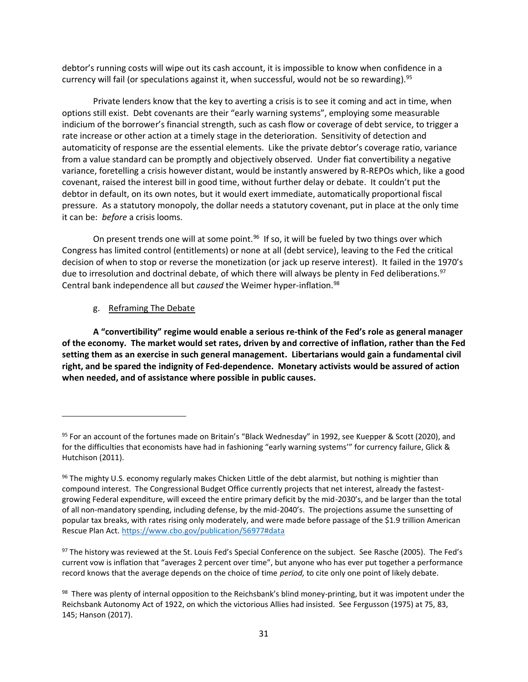debtor's running costs will wipe out its cash account, it is impossible to know when confidence in a currency will fail (or speculations against it, when successful, would not be so rewarding). 95

Private lenders know that the key to averting a crisis is to see it coming and act in time, when options still exist. Debt covenants are their "early warning systems", employing some measurable indicium of the borrower's financial strength, such as cash flow or coverage of debt service, to trigger a rate increase or other action at a timely stage in the deterioration. Sensitivity of detection and automaticity of response are the essential elements. Like the private debtor's coverage ratio, variance from a value standard can be promptly and objectively observed. Under fiat convertibility a negative variance, foretelling a crisis however distant, would be instantly answered by R-REPOs which, like a good covenant, raised the interest bill in good time, without further delay or debate. It couldn't put the debtor in default, on its own notes, but it would exert immediate, automatically proportional fiscal pressure. As a statutory monopoly, the dollar needs a statutory covenant, put in place at the only time it can be: *before* a crisis looms.

On present trends one will at some point.<sup>96</sup> If so, it will be fueled by two things over which Congress has limited control (entitlements) or none at all (debt service), leaving to the Fed the critical decision of when to stop or reverse the monetization (or jack up reserve interest). It failed in the 1970's due to irresolution and doctrinal debate, of which there will always be plenty in Fed deliberations.<sup>97</sup> Central bank independence all but *caused* the Weimer hyper-inflation.<sup>98</sup>

g. Reframing The Debate

**A "convertibility" regime would enable a serious re-think of the Fed's role as general manager of the economy. The market would set rates, driven by and corrective of inflation, rather than the Fed setting them as an exercise in such general management. Libertarians would gain a fundamental civil right, and be spared the indignity of Fed-dependence. Monetary activists would be assured of action when needed, and of assistance where possible in public causes.** 

97 The history was reviewed at the St. Louis Fed's Special Conference on the subject. See Rasche (2005). The Fed's current vow is inflation that "averages 2 percent over time", but anyone who has ever put together a performance record knows that the average depends on the choice of time *period,* to cite only one point of likely debate.

<sup>95</sup> For an account of the fortunes made on Britain's "Black Wednesday" in 1992, see Kuepper & Scott (2020), and for the difficulties that economists have had in fashioning "early warning systems'" for currency failure, Glick & Hutchison (2011).

<sup>96</sup> The mighty U.S. economy regularly makes Chicken Little of the debt alarmist, but nothing is mightier than compound interest. The Congressional Budget Office currently projects that net interest, already the fastestgrowing Federal expenditure, will exceed the entire primary deficit by the mid-2030's, and be larger than the total of all non-mandatory spending, including defense, by the mid-2040's. The projections assume the sunsetting of popular tax breaks, with rates rising only moderately, and were made before passage of the \$1.9 trillion American Rescue Plan Act. <https://www.cbo.gov/publication/56977#data>

<sup>&</sup>lt;sup>98</sup> There was plenty of internal opposition to the Reichsbank's blind money-printing, but it was impotent under the Reichsbank Autonomy Act of 1922, on which the victorious Allies had insisted. See Fergusson (1975) at 75, 83, 145; Hanson (2017).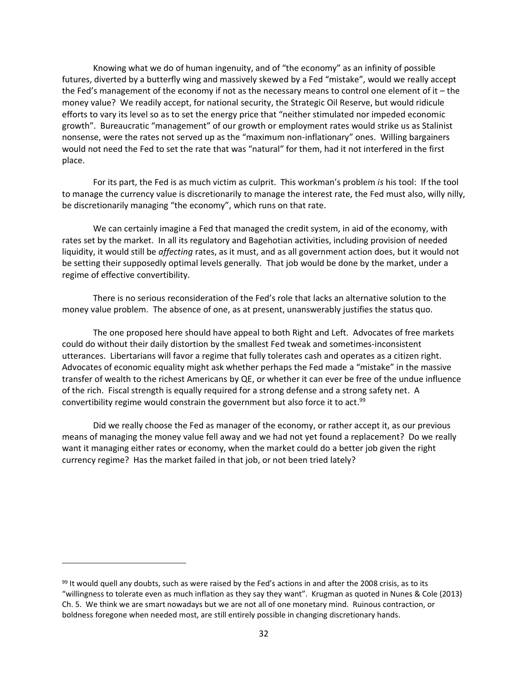Knowing what we do of human ingenuity, and of "the economy" as an infinity of possible futures, diverted by a butterfly wing and massively skewed by a Fed "mistake", would we really accept the Fed's management of the economy if not as the necessary means to control one element of it – the money value? We readily accept, for national security, the Strategic Oil Reserve, but would ridicule efforts to vary its level so as to set the energy price that "neither stimulated nor impeded economic growth". Bureaucratic "management" of our growth or employment rates would strike us as Stalinist nonsense, were the rates not served up as the "maximum non-inflationary" ones. Willing bargainers would not need the Fed to set the rate that was "natural" for them, had it not interfered in the first place.

For its part, the Fed is as much victim as culprit. This workman's problem *is* his tool: If the tool to manage the currency value is discretionarily to manage the interest rate, the Fed must also, willy nilly, be discretionarily managing "the economy", which runs on that rate.

We can certainly imagine a Fed that managed the credit system, in aid of the economy, with rates set by the market. In all its regulatory and Bagehotian activities, including provision of needed liquidity, it would still be *affecting* rates, as it must, and as all government action does, but it would not be setting their supposedly optimal levels generally. That job would be done by the market, under a regime of effective convertibility.

There is no serious reconsideration of the Fed's role that lacks an alternative solution to the money value problem. The absence of one, as at present, unanswerably justifies the status quo.

The one proposed here should have appeal to both Right and Left. Advocates of free markets could do without their daily distortion by the smallest Fed tweak and sometimes-inconsistent utterances. Libertarians will favor a regime that fully tolerates cash and operates as a citizen right. Advocates of economic equality might ask whether perhaps the Fed made a "mistake" in the massive transfer of wealth to the richest Americans by QE, or whether it can ever be free of the undue influence of the rich. Fiscal strength is equally required for a strong defense and a strong safety net. A convertibility regime would constrain the government but also force it to act. 99

Did we really choose the Fed as manager of the economy, or rather accept it, as our previous means of managing the money value fell away and we had not yet found a replacement? Do we really want it managing either rates or economy, when the market could do a better job given the right currency regime? Has the market failed in that job, or not been tried lately?

 $99$  It would quell any doubts, such as were raised by the Fed's actions in and after the 2008 crisis, as to its "willingness to tolerate even as much inflation as they say they want". Krugman as quoted in Nunes & Cole (2013) Ch. 5. We think we are smart nowadays but we are not all of one monetary mind. Ruinous contraction, or boldness foregone when needed most, are still entirely possible in changing discretionary hands.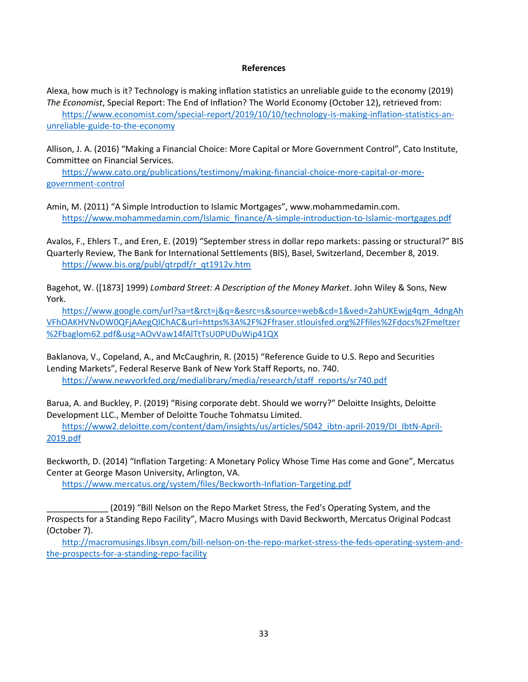#### **References**

Alexa, how much is it? Technology is making inflation statistics an unreliable guide to the economy (2019) *The Economist*, Special Report: The End of Inflation? The World Economy (October 12), retrieved from: [https://www.economist.com/special-report/2019/10/10/technology-is-making-inflation-statistics-an](https://www.economist.com/special-report/2019/10/10/technology-is-making-inflation-statistics-an-unreliable-guide-to-the-economy)[unreliable-guide-to-the-economy](https://www.economist.com/special-report/2019/10/10/technology-is-making-inflation-statistics-an-unreliable-guide-to-the-economy)

Allison, J. A. (2016) "Making a Financial Choice: More Capital or More Government Control", Cato Institute, Committee on Financial Services.

[https://www.cato.org/publications/testimony/making-financial-choice-more-capital-or-more](https://www.cato.org/publications/testimony/making-financial-choice-more-capital-or-more-government-control)[government-control](https://www.cato.org/publications/testimony/making-financial-choice-more-capital-or-more-government-control)

Amin, M. (2011) "A Simple Introduction to Islamic Mortgages", www.mohammedamin.com. [https://www.mohammedamin.com/Islamic\\_finance/A-simple-introduction-to-Islamic-mortgages.pdf](https://www.mohammedamin.com/Islamic_finance/A-simple-introduction-to-Islamic-mortgages.pdf)

Avalos, F., Ehlers T., and Eren, E. (2019) "September stress in dollar repo markets: passing or structural?" BIS Quarterly Review, The Bank for International Settlements (BIS), Basel, Switzerland, December 8, 2019. [https://www.bis.org/publ/qtrpdf/r\\_qt1912v.htm](https://www.bis.org/publ/qtrpdf/r_qt1912v.htm)

Bagehot, W. ([1873] 1999) *Lombard Street: A Description of the Money Market*. John Wiley & Sons, New York.

[https://www.google.com/url?sa=t&rct=j&q=&esrc=s&source=web&cd=1&ved=2ahUKEwjg4qm\\_4dngAh](https://www.google.com/url?sa=t&rct=j&q=&esrc=s&source=web&cd=1&ved=2ahUKEwjg4qm_4dngAhVFhOAKHVNvDW0QFjAAegQIChAC&url=https%3A%2F%2Ffraser.stlouisfed.org%2Ffiles%2Fdocs%2Fmeltzer%2Fbaglom62.pdf&usg=AOvVaw14fAlTtTsU0PUDuWip41QX) [VFhOAKHVNvDW0QFjAAegQIChAC&url=https%3A%2F%2Ffraser.stlouisfed.org%2Ffiles%2Fdocs%2Fmeltzer](https://www.google.com/url?sa=t&rct=j&q=&esrc=s&source=web&cd=1&ved=2ahUKEwjg4qm_4dngAhVFhOAKHVNvDW0QFjAAegQIChAC&url=https%3A%2F%2Ffraser.stlouisfed.org%2Ffiles%2Fdocs%2Fmeltzer%2Fbaglom62.pdf&usg=AOvVaw14fAlTtTsU0PUDuWip41QX) [%2Fbaglom62.pdf&usg=AOvVaw14fAlTtTsU0PUDuWip41QX](https://www.google.com/url?sa=t&rct=j&q=&esrc=s&source=web&cd=1&ved=2ahUKEwjg4qm_4dngAhVFhOAKHVNvDW0QFjAAegQIChAC&url=https%3A%2F%2Ffraser.stlouisfed.org%2Ffiles%2Fdocs%2Fmeltzer%2Fbaglom62.pdf&usg=AOvVaw14fAlTtTsU0PUDuWip41QX)

Baklanova, V., Copeland, A., and McCaughrin, R. (2015) "Reference Guide to U.S. Repo and Securities Lending Markets", Federal Reserve Bank of New York Staff Reports, no. 740. [https://www.newyorkfed.org/medialibrary/media/research/staff\\_reports/sr740.pdf](https://www.newyorkfed.org/medialibrary/media/research/staff_reports/sr740.pdf)

Barua, A. and Buckley, P. (2019) "Rising corporate debt. Should we worry?" Deloitte Insights, Deloitte Development LLC., Member of Deloitte Touche Tohmatsu Limited.

[https://www2.deloitte.com/content/dam/insights/us/articles/5042\\_ibtn-april-2019/DI\\_IbtN-April-](https://www2.deloitte.com/content/dam/insights/us/articles/5042_ibtn-april-2019/DI_IbtN-April-2019.pdf)[2019.pdf](https://www2.deloitte.com/content/dam/insights/us/articles/5042_ibtn-april-2019/DI_IbtN-April-2019.pdf)

Beckworth, D. (2014) "Inflation Targeting: A Monetary Policy Whose Time Has come and Gone", Mercatus Center at George Mason University, Arlington, VA.

<https://www.mercatus.org/system/files/Beckworth-Inflation-Targeting.pdf>

\_\_\_\_\_\_\_\_\_\_\_\_\_ (2019) "Bill Nelson on the Repo Market Stress, the Fed's Operating System, and the Prospects for a Standing Repo Facility", Macro Musings with David Beckworth, Mercatus Original Podcast (October 7).

[http://macromusings.libsyn.com/bill-nelson-on-the-repo-market-stress-the-feds-operating-system-and](http://macromusings.libsyn.com/bill-nelson-on-the-repo-market-stress-the-feds-operating-system-and-the-prospects-for-a-standing-repo-facility)[the-prospects-for-a-standing-repo-facility](http://macromusings.libsyn.com/bill-nelson-on-the-repo-market-stress-the-feds-operating-system-and-the-prospects-for-a-standing-repo-facility)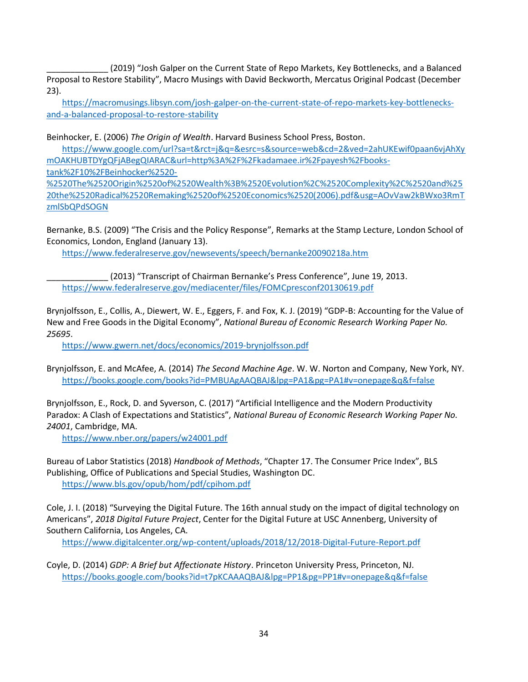\_\_\_\_\_\_\_\_\_\_\_\_\_ (2019) "Josh Galper on the Current State of Repo Markets, Key Bottlenecks, and a Balanced Proposal to Restore Stability", Macro Musings with David Beckworth, Mercatus Original Podcast (December 23).

[https://macromusings.libsyn.com/josh-galper-on-the-current-state-of-repo-markets-key-bottlenecks](https://macromusings.libsyn.com/josh-galper-on-the-current-state-of-repo-markets-key-bottlenecks-and-a-balanced-proposal-to-restore-stability)[and-a-balanced-proposal-to-restore-stability](https://macromusings.libsyn.com/josh-galper-on-the-current-state-of-repo-markets-key-bottlenecks-and-a-balanced-proposal-to-restore-stability)

Beinhocker, E. (2006) *The Origin of Wealth*. Harvard Business School Press, Boston.

[https://www.google.com/url?sa=t&rct=j&q=&esrc=s&source=web&cd=2&ved=2ahUKEwif0paan6vjAhXy](https://www.google.com/url?sa=t&rct=j&q=&esrc=s&source=web&cd=2&ved=2ahUKEwif0paan6vjAhXymOAKHUBTDYgQFjABegQIARAC&url=http%3A%2F%2Fkadamaee.ir%2Fpayesh%2Fbooks-tank%2F10%2FBeinhocker%2520-%2520The%2520Origin%2520of%2520Wealth%3B%2520Evolution%2C%2520Complexity%2C%2520and%2520the%2520Radical%2520Remaking%2520of%2520Economics%2520(2006).pdf&usg=AOvVaw2kBWxo3RmTzmlSbQPdSOGN) [mOAKHUBTDYgQFjABegQIARAC&url=http%3A%2F%2Fkadamaee.ir%2Fpayesh%2Fbooks-](https://www.google.com/url?sa=t&rct=j&q=&esrc=s&source=web&cd=2&ved=2ahUKEwif0paan6vjAhXymOAKHUBTDYgQFjABegQIARAC&url=http%3A%2F%2Fkadamaee.ir%2Fpayesh%2Fbooks-tank%2F10%2FBeinhocker%2520-%2520The%2520Origin%2520of%2520Wealth%3B%2520Evolution%2C%2520Complexity%2C%2520and%2520the%2520Radical%2520Remaking%2520of%2520Economics%2520(2006).pdf&usg=AOvVaw2kBWxo3RmTzmlSbQPdSOGN)

[tank%2F10%2FBeinhocker%2520-](https://www.google.com/url?sa=t&rct=j&q=&esrc=s&source=web&cd=2&ved=2ahUKEwif0paan6vjAhXymOAKHUBTDYgQFjABegQIARAC&url=http%3A%2F%2Fkadamaee.ir%2Fpayesh%2Fbooks-tank%2F10%2FBeinhocker%2520-%2520The%2520Origin%2520of%2520Wealth%3B%2520Evolution%2C%2520Complexity%2C%2520and%2520the%2520Radical%2520Remaking%2520of%2520Economics%2520(2006).pdf&usg=AOvVaw2kBWxo3RmTzmlSbQPdSOGN)

[%2520The%2520Origin%2520of%2520Wealth%3B%2520Evolution%2C%2520Complexity%2C%2520and%25](https://www.google.com/url?sa=t&rct=j&q=&esrc=s&source=web&cd=2&ved=2ahUKEwif0paan6vjAhXymOAKHUBTDYgQFjABegQIARAC&url=http%3A%2F%2Fkadamaee.ir%2Fpayesh%2Fbooks-tank%2F10%2FBeinhocker%2520-%2520The%2520Origin%2520of%2520Wealth%3B%2520Evolution%2C%2520Complexity%2C%2520and%2520the%2520Radical%2520Remaking%2520of%2520Economics%2520(2006).pdf&usg=AOvVaw2kBWxo3RmTzmlSbQPdSOGN) [20the%2520Radical%2520Remaking%2520of%2520Economics%2520\(2006\).pdf&usg=AOvVaw2kBWxo3RmT](https://www.google.com/url?sa=t&rct=j&q=&esrc=s&source=web&cd=2&ved=2ahUKEwif0paan6vjAhXymOAKHUBTDYgQFjABegQIARAC&url=http%3A%2F%2Fkadamaee.ir%2Fpayesh%2Fbooks-tank%2F10%2FBeinhocker%2520-%2520The%2520Origin%2520of%2520Wealth%3B%2520Evolution%2C%2520Complexity%2C%2520and%2520the%2520Radical%2520Remaking%2520of%2520Economics%2520(2006).pdf&usg=AOvVaw2kBWxo3RmTzmlSbQPdSOGN) [zmlSbQPdSOGN](https://www.google.com/url?sa=t&rct=j&q=&esrc=s&source=web&cd=2&ved=2ahUKEwif0paan6vjAhXymOAKHUBTDYgQFjABegQIARAC&url=http%3A%2F%2Fkadamaee.ir%2Fpayesh%2Fbooks-tank%2F10%2FBeinhocker%2520-%2520The%2520Origin%2520of%2520Wealth%3B%2520Evolution%2C%2520Complexity%2C%2520and%2520the%2520Radical%2520Remaking%2520of%2520Economics%2520(2006).pdf&usg=AOvVaw2kBWxo3RmTzmlSbQPdSOGN)

Bernanke, B.S. (2009) "The Crisis and the Policy Response", Remarks at the Stamp Lecture, London School of Economics, London, England (January 13).

<https://www.federalreserve.gov/newsevents/speech/bernanke20090218a.htm>

(2013) "Transcript of Chairman Bernanke's Press Conference", June 19, 2013. <https://www.federalreserve.gov/mediacenter/files/FOMCpresconf20130619.pdf>

Brynjolfsson, E., Collis, A., Diewert, W. E., Eggers, F. and Fox, K. J. (2019) "GDP-B: Accounting for the Value of New and Free Goods in the Digital Economy", *National Bureau of Economic Research Working Paper No. 25695*.

<https://www.gwern.net/docs/economics/2019-brynjolfsson.pdf>

Brynjolfsson, E. and McAfee, A. (2014) *The Second Machine Age*. W. W. Norton and Company, New York, NY. <https://books.google.com/books?id=PMBUAgAAQBAJ&lpg=PA1&pg=PA1#v=onepage&q&f=false>

Brynjolfsson, E., Rock, D. and Syverson, C. (2017) "Artificial Intelligence and the Modern Productivity Paradox: A Clash of Expectations and Statistics", *National Bureau of Economic Research Working Paper No. 24001*, Cambridge, MA.

<https://www.nber.org/papers/w24001.pdf>

Bureau of Labor Statistics (2018) *Handbook of Methods*, "Chapter 17. The Consumer Price Index", BLS Publishing, Office of Publications and Special Studies, Washington DC. <https://www.bls.gov/opub/hom/pdf/cpihom.pdf>

Cole, J. I. (2018) "Surveying the Digital Future. The 16th annual study on the impact of digital technology on Americans", *2018 Digital Future Project*, Center for the Digital Future at USC Annenberg, University of Southern California, Los Angeles, CA.

<https://www.digitalcenter.org/wp-content/uploads/2018/12/2018-Digital-Future-Report.pdf>

Coyle, D. (2014) *GDP: A Brief but Affectionate History*. Princeton University Press, Princeton, NJ. <https://books.google.com/books?id=t7pKCAAAQBAJ&lpg=PP1&pg=PP1#v=onepage&q&f=false>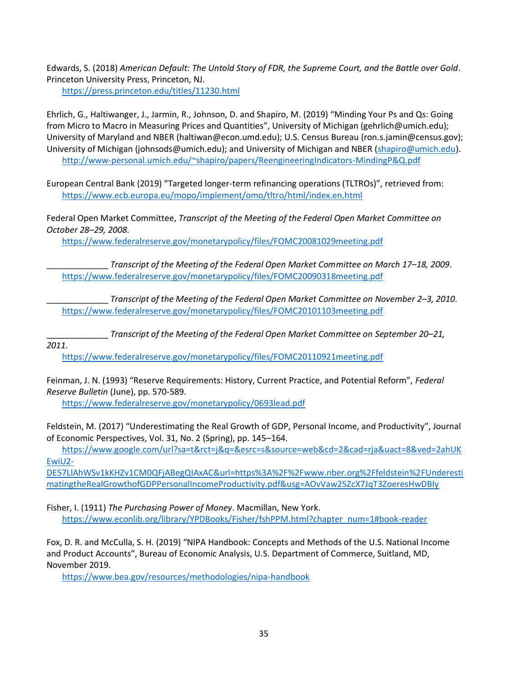Edwards, S. (2018) *American Default: The Untold Story of FDR, the Supreme Court, and the Battle over Gold*. Princeton University Press, Princeton, NJ.

<https://press.princeton.edu/titles/11230.html>

Ehrlich, G., Haltiwanger, J., Jarmin, R., Johnson, D. and Shapiro, M. (2019) "Minding Your Ps and Qs: Going from Micro to Macro in Measuring Prices and Quantities", University of Michigan (gehrlich@umich.edu); University of Maryland and NBER (haltiwan@econ.umd.edu); U.S. Census Bureau (ron.s.jamin@census.gov); University of Michigan (johnsods@umich.edu); and University of Michigan and NBER [\(shapiro@umich.edu\)](mailto:shapiro@umich.edu). <http://www-personal.umich.edu/~shapiro/papers/ReengineeringIndicators-MindingP&Q.pdf>

European Central Bank (2019) "Targeted longer-term refinancing operations (TLTROs)", retrieved from: <https://www.ecb.europa.eu/mopo/implement/omo/tltro/html/index.en.html>

Federal Open Market Committee, *Transcript of the Meeting of the Federal Open Market Committee on October 28–29, 2008*.

<https://www.federalreserve.gov/monetarypolicy/files/FOMC20081029meeting.pdf>

\_\_\_\_\_\_\_\_\_\_\_\_\_ *Transcript of the Meeting of the Federal Open Market Committee on March 17–18, 2009*. <https://www.federalreserve.gov/monetarypolicy/files/FOMC20090318meeting.pdf>

\_\_\_\_\_\_\_\_\_\_\_\_\_ *Transcript of the Meeting of the Federal Open Market Committee on November 2–3, 2010*. <https://www.federalreserve.gov/monetarypolicy/files/FOMC20101103meeting.pdf>

\_\_\_\_\_\_\_\_\_\_\_\_\_ *Transcript of the Meeting of the Federal Open Market Committee on September 20–21,* 

*2011*.

<https://www.federalreserve.gov/monetarypolicy/files/FOMC20110921meeting.pdf>

Feinman, J. N. (1993) "Reserve Requirements: History, Current Practice, and Potential Reform", *Federal Reserve Bulletin* (June), pp. 570-589.

<https://www.federalreserve.gov/monetarypolicy/0693lead.pdf>

Feldstein, M. (2017) "Underestimating the Real Growth of GDP, Personal Income, and Productivity", Journal of Economic Perspectives, Vol. 31, No. 2 (Spring), pp. 145–164.

[https://www.google.com/url?sa=t&rct=j&q=&esrc=s&source=web&cd=2&cad=rja&uact=8&ved=2ahUK](https://www.google.com/url?sa=t&rct=j&q=&esrc=s&source=web&cd=2&cad=rja&uact=8&ved=2ahUKEwiU2-DE57LlAhWSv1kKHZv1CM0QFjABegQIAxAC&url=https%3A%2F%2Fwww.nber.org%2Ffeldstein%2FUnderestimatingtheRealGrowthofGDPPersonalIncomeProductivity.pdf&usg=AOvVaw25ZcX7JqT3ZoeresHwDBIy) [EwiU2-](https://www.google.com/url?sa=t&rct=j&q=&esrc=s&source=web&cd=2&cad=rja&uact=8&ved=2ahUKEwiU2-DE57LlAhWSv1kKHZv1CM0QFjABegQIAxAC&url=https%3A%2F%2Fwww.nber.org%2Ffeldstein%2FUnderestimatingtheRealGrowthofGDPPersonalIncomeProductivity.pdf&usg=AOvVaw25ZcX7JqT3ZoeresHwDBIy)

[DE57LlAhWSv1kKHZv1CM0QFjABegQIAxAC&url=https%3A%2F%2Fwww.nber.org%2Ffeldstein%2FUnderesti](https://www.google.com/url?sa=t&rct=j&q=&esrc=s&source=web&cd=2&cad=rja&uact=8&ved=2ahUKEwiU2-DE57LlAhWSv1kKHZv1CM0QFjABegQIAxAC&url=https%3A%2F%2Fwww.nber.org%2Ffeldstein%2FUnderestimatingtheRealGrowthofGDPPersonalIncomeProductivity.pdf&usg=AOvVaw25ZcX7JqT3ZoeresHwDBIy) [matingtheRealGrowthofGDPPersonalIncomeProductivity.pdf&usg=AOvVaw25ZcX7JqT3ZoeresHwDBIy](https://www.google.com/url?sa=t&rct=j&q=&esrc=s&source=web&cd=2&cad=rja&uact=8&ved=2ahUKEwiU2-DE57LlAhWSv1kKHZv1CM0QFjABegQIAxAC&url=https%3A%2F%2Fwww.nber.org%2Ffeldstein%2FUnderestimatingtheRealGrowthofGDPPersonalIncomeProductivity.pdf&usg=AOvVaw25ZcX7JqT3ZoeresHwDBIy)

Fisher, I. (1911) *The Purchasing Power of Money*. Macmillan, New York. [https://www.econlib.org/library/YPDBooks/Fisher/fshPPM.html?chapter\\_num=1#book-reader](https://www.econlib.org/library/YPDBooks/Fisher/fshPPM.html?chapter_num=1#book-reader)

Fox, D. R. and McCulla, S. H. (2019) "NIPA Handbook: Concepts and Methods of the U.S. National Income and Product Accounts", Bureau of Economic Analysis, U.S. Department of Commerce, Suitland, MD, November 2019.

<https://www.bea.gov/resources/methodologies/nipa-handbook>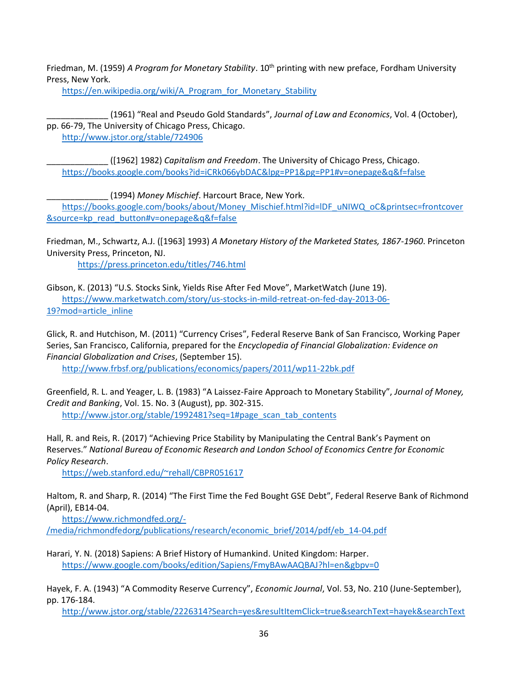Friedman, M. (1959) *A Program for Monetary Stability*. 10<sup>th</sup> printing with new preface, Fordham University Press, New York.

https://en.wikipedia.org/wiki/A Program for Monetary Stability

\_\_\_\_\_\_\_\_\_\_\_\_\_ (1961) "Real and Pseudo Gold Standards", *Journal of Law and Economics*, Vol. 4 (October), pp. 66-79, The University of Chicago Press, Chicago. <http://www.jstor.org/stable/724906>

\_\_\_\_\_\_\_\_\_\_\_\_\_ ([1962] 1982) *Capitalism and Freedom*. The University of Chicago Press, Chicago. <https://books.google.com/books?id=iCRk066ybDAC&lpg=PP1&pg=PP1#v=onepage&q&f=false>

\_\_\_\_\_\_\_\_\_\_\_\_\_ (1994) *Money Mischief*. Harcourt Brace, New York.

[https://books.google.com/books/about/Money\\_Mischief.html?id=lDF\\_uNIWQ\\_oC&printsec=frontcover](https://books.google.com/books/about/Money_Mischief.html?id=lDF_uNIWQ_oC&printsec=frontcover&source=kp_read_button#v=onepage&q&f=false) [&source=kp\\_read\\_button#v=onepage&q&f=false](https://books.google.com/books/about/Money_Mischief.html?id=lDF_uNIWQ_oC&printsec=frontcover&source=kp_read_button#v=onepage&q&f=false)

Friedman, M., Schwartz, A.J. ([1963] 1993) *A Monetary History of the Marketed States, 1867-1960*. Princeton University Press, Princeton, NJ.

<https://press.princeton.edu/titles/746.html>

Gibson, K. (2013) "U.S. Stocks Sink, Yields Rise After Fed Move", MarketWatch (June 19). [https://www.marketwatch.com/story/us-stocks-in-mild-retreat-on-fed-day-2013-06-](https://www.marketwatch.com/story/us-stocks-in-mild-retreat-on-fed-day-2013-06-19?mod=article_inline) [19?mod=article\\_inline](https://www.marketwatch.com/story/us-stocks-in-mild-retreat-on-fed-day-2013-06-19?mod=article_inline)

Glick, R. and Hutchison, M. (2011) "Currency Crises", Federal Reserve Bank of San Francisco, Working Paper Series, San Francisco, California, prepared for the *Encyclopedia of Financial Globalization: Evidence on Financial Globalization and Crises*, (September 15).

<http://www.frbsf.org/publications/economics/papers/2011/wp11-22bk.pdf>

Greenfield, R. L. and Yeager, L. B. (1983) "A Laissez-Faire Approach to Monetary Stability", *Journal of Money, Credit and Banking*, Vol. 15. No. 3 (August), pp. 302-315. [http://www.jstor.org/stable/1992481?seq=1#page\\_scan\\_tab\\_contents](http://www.jstor.org/stable/1992481?seq=1#page_scan_tab_contents)

Hall, R. and Reis, R. (2017) "Achieving Price Stability by Manipulating the Central Bank's Payment on Reserves." *National Bureau of Economic Research and London School of Economics Centre for Economic Policy Research*.

<https://web.stanford.edu/~rehall/CBPR051617>

Haltom, R. and Sharp, R. (2014) "The First Time the Fed Bought GSE Debt", Federal Reserve Bank of Richmond (April), EB14-04.

[https://www.richmondfed.org/-](https://www.richmondfed.org/-/media/richmondfedorg/publications/research/economic_brief/2014/pdf/eb_14-04.pdf)

[/media/richmondfedorg/publications/research/economic\\_brief/2014/pdf/eb\\_14-04.pdf](https://www.richmondfed.org/-/media/richmondfedorg/publications/research/economic_brief/2014/pdf/eb_14-04.pdf)

Harari, Y. N. (2018) Sapiens: A Brief History of Humankind. United Kingdom: Harper. <https://www.google.com/books/edition/Sapiens/FmyBAwAAQBAJ?hl=en&gbpv=0>

Hayek, F. A. (1943) "A Commodity Reserve Currency", *Economic Journal*, Vol. 53, No. 210 (June-September), pp. 176-184.

[http://www.jstor.org/stable/2226314?Search=yes&resultItemClick=true&searchText=hayek&searchText](http://www.jstor.org/stable/2226314?Search=yes&resultItemClick=true&searchText=hayek&searchText=Commodity&searchText=Reserve&searchText=Currency&searchUri=%2Faction%2FdoBasicSearch%3FQuery%3Dhayek%2BCommodity%2BReserve%2BCurrency%26amp%3Bprq%3Dhayek%26amp%3Bgroup%3Dnone%26amp%3Bhp%3D25%26amp%3Bfc%3Doff%26amp%3Bso%3Drel%26amp%3Bwc%3Don%26amp%3Bacc%3Doff&seq=1#page_scan_tab_contents)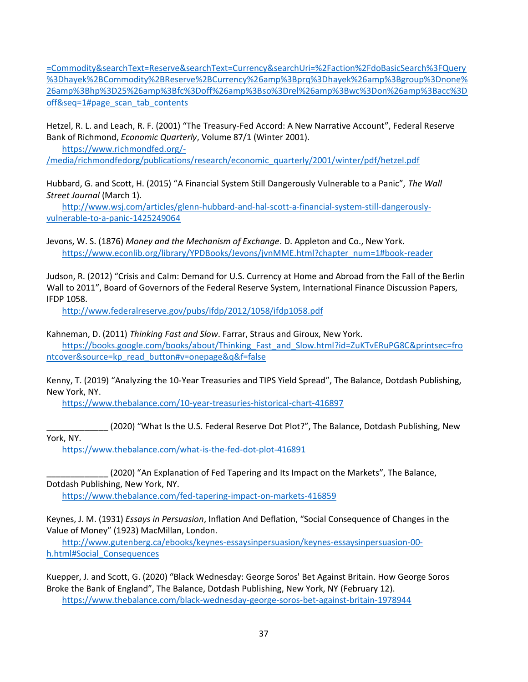[=Commodity&searchText=Reserve&searchText=Currency&searchUri=%2Faction%2FdoBasicSearch%3FQuery](http://www.jstor.org/stable/2226314?Search=yes&resultItemClick=true&searchText=hayek&searchText=Commodity&searchText=Reserve&searchText=Currency&searchUri=%2Faction%2FdoBasicSearch%3FQuery%3Dhayek%2BCommodity%2BReserve%2BCurrency%26amp%3Bprq%3Dhayek%26amp%3Bgroup%3Dnone%26amp%3Bhp%3D25%26amp%3Bfc%3Doff%26amp%3Bso%3Drel%26amp%3Bwc%3Don%26amp%3Bacc%3Doff&seq=1#page_scan_tab_contents) [%3Dhayek%2BCommodity%2BReserve%2BCurrency%26amp%3Bprq%3Dhayek%26amp%3Bgroup%3Dnone%](http://www.jstor.org/stable/2226314?Search=yes&resultItemClick=true&searchText=hayek&searchText=Commodity&searchText=Reserve&searchText=Currency&searchUri=%2Faction%2FdoBasicSearch%3FQuery%3Dhayek%2BCommodity%2BReserve%2BCurrency%26amp%3Bprq%3Dhayek%26amp%3Bgroup%3Dnone%26amp%3Bhp%3D25%26amp%3Bfc%3Doff%26amp%3Bso%3Drel%26amp%3Bwc%3Don%26amp%3Bacc%3Doff&seq=1#page_scan_tab_contents) [26amp%3Bhp%3D25%26amp%3Bfc%3Doff%26amp%3Bso%3Drel%26amp%3Bwc%3Don%26amp%3Bacc%3D](http://www.jstor.org/stable/2226314?Search=yes&resultItemClick=true&searchText=hayek&searchText=Commodity&searchText=Reserve&searchText=Currency&searchUri=%2Faction%2FdoBasicSearch%3FQuery%3Dhayek%2BCommodity%2BReserve%2BCurrency%26amp%3Bprq%3Dhayek%26amp%3Bgroup%3Dnone%26amp%3Bhp%3D25%26amp%3Bfc%3Doff%26amp%3Bso%3Drel%26amp%3Bwc%3Don%26amp%3Bacc%3Doff&seq=1#page_scan_tab_contents) [off&seq=1#page\\_scan\\_tab\\_contents](http://www.jstor.org/stable/2226314?Search=yes&resultItemClick=true&searchText=hayek&searchText=Commodity&searchText=Reserve&searchText=Currency&searchUri=%2Faction%2FdoBasicSearch%3FQuery%3Dhayek%2BCommodity%2BReserve%2BCurrency%26amp%3Bprq%3Dhayek%26amp%3Bgroup%3Dnone%26amp%3Bhp%3D25%26amp%3Bfc%3Doff%26amp%3Bso%3Drel%26amp%3Bwc%3Don%26amp%3Bacc%3Doff&seq=1#page_scan_tab_contents)

Hetzel, R. L. and Leach, R. F. (2001) "The Treasury-Fed Accord: A New Narrative Account", Federal Reserve Bank of Richmond, *Economic Quarterly*, Volume 87/1 (Winter 2001).

[https://www.richmondfed.org/-](https://www.richmondfed.org/-/media/richmondfedorg/publications/research/economic_quarterly/2001/winter/pdf/hetzel.pdf)

[/media/richmondfedorg/publications/research/economic\\_quarterly/2001/winter/pdf/hetzel.pdf](https://www.richmondfed.org/-/media/richmondfedorg/publications/research/economic_quarterly/2001/winter/pdf/hetzel.pdf)

Hubbard, G. and Scott, H. (2015) "A Financial System Still Dangerously Vulnerable to a Panic", *The Wall Street Journal* (March 1).

[http://www.wsj.com/articles/glenn-hubbard-and-hal-scott-a-financial-system-still-dangerously](http://www.wsj.com/articles/glenn-hubbard-and-hal-scott-a-financial-system-still-dangerously-vulnerable-to-a-panic-1425249064)[vulnerable-to-a-panic-1425249064](http://www.wsj.com/articles/glenn-hubbard-and-hal-scott-a-financial-system-still-dangerously-vulnerable-to-a-panic-1425249064)

Jevons, W. S. (1876) *Money and the Mechanism of Exchange*. D. Appleton and Co., New York. [https://www.econlib.org/library/YPDBooks/Jevons/jvnMME.html?chapter\\_num=1#book-reader](https://www.econlib.org/library/YPDBooks/Jevons/jvnMME.html?chapter_num=1#book-reader)

Judson, R. (2012) "Crisis and Calm: Demand for U.S. Currency at Home and Abroad from the Fall of the Berlin Wall to 2011", Board of Governors of the Federal Reserve System, International Finance Discussion Papers, IFDP 1058.

<http://www.federalreserve.gov/pubs/ifdp/2012/1058/ifdp1058.pdf>

Kahneman, D. (2011) *Thinking Fast and Slow*. Farrar, Straus and Giroux, New York. [https://books.google.com/books/about/Thinking\\_Fast\\_and\\_Slow.html?id=ZuKTvERuPG8C&printsec=fro](https://books.google.com/books/about/Thinking_Fast_and_Slow.html?id=ZuKTvERuPG8C&printsec=frontcover&source=kp_read_button#v=onepage&q&f=false) [ntcover&source=kp\\_read\\_button#v=onepage&q&f=false](https://books.google.com/books/about/Thinking_Fast_and_Slow.html?id=ZuKTvERuPG8C&printsec=frontcover&source=kp_read_button#v=onepage&q&f=false)

Kenny, T. (2019) "Analyzing the 10-Year Treasuries and TIPS Yield Spread", The Balance, Dotdash Publishing, New York, NY.

<https://www.thebalance.com/10-year-treasuries-historical-chart-416897>

\_\_\_\_\_\_\_\_\_\_\_\_\_ (2020) "What Is the U.S. Federal Reserve Dot Plot?", The Balance, Dotdash Publishing, New York, NY.

<https://www.thebalance.com/what-is-the-fed-dot-plot-416891>

\_\_\_\_\_\_\_\_\_\_\_\_\_ (2020) "An Explanation of Fed Tapering and Its Impact on the Markets", The Balance, Dotdash Publishing, New York, NY.

<https://www.thebalance.com/fed-tapering-impact-on-markets-416859>

Keynes, J. M. (1931) *Essays in Persuasion*, Inflation And Deflation, "Social Consequence of Changes in the Value of Money" (1923) MacMillan, London.

[http://www.gutenberg.ca/ebooks/keynes-essaysinpersuasion/keynes-essaysinpersuasion-00](http://www.gutenberg.ca/ebooks/keynes-essaysinpersuasion/keynes-essaysinpersuasion-00-h.html#Social_Consequences) [h.html#Social\\_Consequences](http://www.gutenberg.ca/ebooks/keynes-essaysinpersuasion/keynes-essaysinpersuasion-00-h.html#Social_Consequences)

Kuepper, J. and Scott, G. (2020) "Black Wednesday: George Soros' Bet Against Britain. How George Soros Broke the Bank of England", The Balance, Dotdash Publishing, New York, NY (February 12). <https://www.thebalance.com/black-wednesday-george-soros-bet-against-britain-1978944>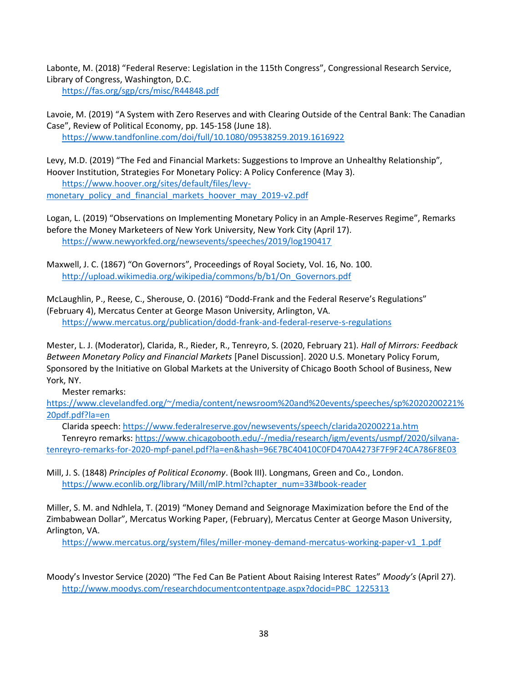Labonte, M. (2018) "Federal Reserve: Legislation in the 115th Congress", Congressional Research Service, Library of Congress, Washington, D.C.

<https://fas.org/sgp/crs/misc/R44848.pdf>

Lavoie, M. (2019) "A System with Zero Reserves and with Clearing Outside of the Central Bank: The Canadian Case", Review of Political Economy, pp. 145-158 (June 18). <https://www.tandfonline.com/doi/full/10.1080/09538259.2019.1616922>

Levy, M.D. (2019) "The Fed and Financial Markets: Suggestions to Improve an Unhealthy Relationship", Hoover Institution, Strategies For Monetary Policy: A Policy Conference (May 3). [https://www.hoover.org/sites/default/files/levy-](https://www.hoover.org/sites/default/files/levy-monetary_policy_and_financial_markets_hoover_may_2019-v2.pdf)

[monetary\\_policy\\_and\\_financial\\_markets\\_hoover\\_may\\_2019-v2.pdf](https://www.hoover.org/sites/default/files/levy-monetary_policy_and_financial_markets_hoover_may_2019-v2.pdf)

Logan, L. (2019) "Observations on Implementing Monetary Policy in an Ample-Reserves Regime", Remarks before the Money Marketeers of New York University, New York City (April 17). <https://www.newyorkfed.org/newsevents/speeches/2019/log190417>

Maxwell, J. C. (1867) "On Governors", Proceedings of Royal Society, Vol. 16, No. 100. [http://upload.wikimedia.org/wikipedia/commons/b/b1/On\\_Governors.pdf](http://upload.wikimedia.org/wikipedia/commons/b/b1/On_Governors.pdf)

McLaughlin, P., Reese, C., Sherouse, O. (2016) "Dodd-Frank and the Federal Reserve's Regulations" (February 4), Mercatus Center at George Mason University, Arlington, VA. <https://www.mercatus.org/publication/dodd-frank-and-federal-reserve-s-regulations>

Mester, L. J. (Moderator), Clarida, R., Rieder, R., Tenreyro, S. (2020, February 21). *Hall of Mirrors: Feedback Between Monetary Policy and Financial Markets* [Panel Discussion]. 2020 U.S. Monetary Policy Forum, Sponsored by the Initiative on Global Markets at the University of Chicago Booth School of Business, New York, NY.

Mester remarks:

[https://www.clevelandfed.org/~/media/content/newsroom%20and%20events/speeches/sp%2020200221%](https://www.clevelandfed.org/~/media/content/newsroom%20and%20events/speeches/sp%2020200221%20pdf.pdf?la=en) [20pdf.pdf?la=en](https://www.clevelandfed.org/~/media/content/newsroom%20and%20events/speeches/sp%2020200221%20pdf.pdf?la=en)

Clarida speech:<https://www.federalreserve.gov/newsevents/speech/clarida20200221a.htm>

Tenreyro remarks: [https://www.chicagobooth.edu/-/media/research/igm/events/usmpf/2020/silvana](https://www.chicagobooth.edu/-/media/research/igm/events/usmpf/2020/silvana-tenreyro-remarks-for-2020-mpf-panel.pdf?la=en&hash=96E7BC40410C0FD470A4273F7F9F24CA786F8E03)[tenreyro-remarks-for-2020-mpf-panel.pdf?la=en&hash=96E7BC40410C0FD470A4273F7F9F24CA786F8E03](https://www.chicagobooth.edu/-/media/research/igm/events/usmpf/2020/silvana-tenreyro-remarks-for-2020-mpf-panel.pdf?la=en&hash=96E7BC40410C0FD470A4273F7F9F24CA786F8E03)

Mill, J. S. (1848) *Principles of Political Economy*. (Book III). Longmans, Green and Co., London. [https://www.econlib.org/library/Mill/mlP.html?chapter\\_num=33#book-reader](https://www.econlib.org/library/Mill/mlP.html?chapter_num=33#book-reader)

Miller, S. M. and Ndhlela, T. (2019) "Money Demand and Seignorage Maximization before the End of the Zimbabwean Dollar", Mercatus Working Paper, (February), Mercatus Center at George Mason University, Arlington, VA.

[https://www.mercatus.org/system/files/miller-money-demand-mercatus-working-paper-v1\\_1.pdf](https://www.mercatus.org/system/files/miller-money-demand-mercatus-working-paper-v1_1.pdf)

Moody's Investor Service (2020) "The Fed Can Be Patient About Raising Interest Rates" *Moody's* (April 27). [http://www.moodys.com/researchdocumentcontentpage.aspx?docid=PBC\\_1225313](http://www.moodys.com/researchdocumentcontentpage.aspx?docid=PBC_1225313)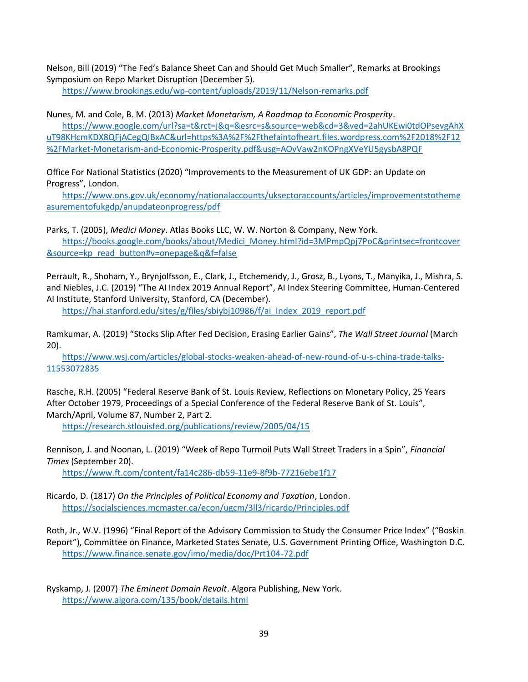Nelson, Bill (2019) "The Fed's Balance Sheet Can and Should Get Much Smaller", Remarks at Brookings Symposium on Repo Market Disruption (December 5).

https://www.brookings.edu/wp-content/uploads/2019/11/Nelson-remarks.pdf

Nunes, M. and Cole, B. M. (2013) *Market Monetarism, A Roadmap to Economic Prosperity*.

https://www.google.com/url?sa=t&rct=j&q=&esrc=s&source=web&cd=3&ved=2ahUKEwi0tdOPsevgAhX uT98KHcmKDX8QFjACegQIBxAC&url=https%3A%2F%2Fthefaintofheart.files.wordpress.com%2F2018%2F12 %2FMarket-Monetarism-and-Economic-Prosperity.pdf&usg=AOvVaw2nKOPngXVeYU5gysbA8PQF

Office For National Statistics (2020) "Improvements to the Measurement of UK GDP: an Update on Progress", London.

https://www.ons.gov.uk/economy/nationalaccounts/uksectoraccounts/articles/improvementstotheme asurementofukgdp/anupdateonprogress/pdf

Parks, T. (2005), *Medici Money*. Atlas Books LLC, W. W. Norton & Company, New York. https://books.google.com/books/about/Medici\_Money.html?id=3MPmpQpj7PoC&printsec=frontcover &source=kp\_read\_button#v=onepage&q&f=false

Perrault, R., Shoham, Y., Brynjolfsson, E., Clark, J., Etchemendy, J., Grosz, B., Lyons, T., Manyika, J., Mishra, S. and Niebles, J.C. (2019) "The AI Index 2019 Annual Report", AI Index Steering Committee, Human-Centered AI Institute, Stanford University, Stanford, CA (December).

https://hai.stanford.edu/sites/g/files/sbiybj10986/f/ai\_index\_2019\_report.pdf

Ramkumar, A. (2019) "Stocks Slip After Fed Decision, Erasing Earlier Gains", *The Wall Street Journal* (March 20).

https://www.wsj.com/articles/global-stocks-weaken-ahead-of-new-round-of-u-s-china-trade-talks-11553072835

Rasche, R.H. (2005) "Federal Reserve Bank of St. Louis Review, Reflections on Monetary Policy, 25 Years After October 1979, Proceedings of a Special Conference of the Federal Reserve Bank of St. Louis", March/April, Volume 87, Number 2, Part 2.

https://research.stlouisfed.org/publications/review/2005/04/15

Rennison, J. and Noonan, L. (2019) "Week of Repo Turmoil Puts Wall Street Traders in a Spin", *Financial Times* (September 20).

https://www.ft.com/content/fa14c286-db59-11e9-8f9b-77216ebe1f17

Ricardo, D. (1817) *On the Principles of Political Economy and Taxation*, London. https://socialsciences.mcmaster.ca/econ/ugcm/3ll3/ricardo/Principles.pdf

Roth, Jr., W.V. (1996) "Final Report of the Advisory Commission to Study the Consumer Price Index" ("Boskin Report"), Committee on Finance, Marketed States Senate, U.S. Government Printing Office, Washington D.C. https://www.finance.senate.gov/imo/media/doc/Prt104-72.pdf

Ryskamp, J. (2007) *The Eminent Domain Revolt*. Algora Publishing, New York. https://www.algora.com/135/book/details.html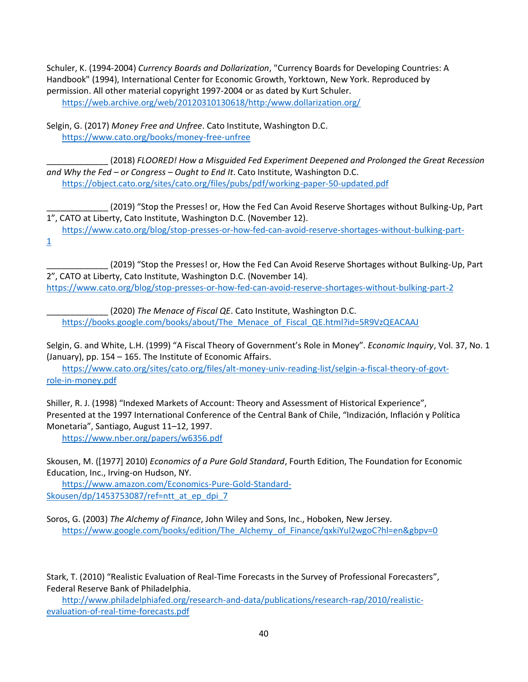Schuler, K. (1994-2004) *Currency Boards and Dollarization*, "Currency Boards for Developing Countries: A Handbook" (1994), International Center for Economic Growth, Yorktown, New York. Reproduced by permission. All other material copyright 1997-2004 or as dated by Kurt Schuler. https://web.archive.org/web/20120310130618/http:/www.dollarization.org/

Selgin, G. (2017) *Money Free and Unfree*. Cato Institute, Washington D.C. https://www.cato.org/books/money-free-unfree

\_\_\_\_\_\_\_\_\_\_\_\_\_ (2018) *FLOORED! How a Misguided Fed Experiment Deepened and Prolonged the Great Recession and Why the Fed – or Congress – Ought to End It*. Cato Institute, Washington D.C. https://object.cato.org/sites/cato.org/files/pubs/pdf/working-paper-50-updated.pdf

\_\_\_\_\_\_\_\_\_\_\_\_\_ (2019) "Stop the Presses! or, How the Fed Can Avoid Reserve Shortages without Bulking‐Up, Part 1", CATO at Liberty, Cato Institute, Washington D.C. (November 12).

https://www.cato.org/blog/stop-presses-or-how-fed-can-avoid-reserve-shortages-without-bulking-part-1

\_\_\_\_\_\_\_\_\_\_\_\_\_ (2019) "Stop the Presses! or, How the Fed Can Avoid Reserve Shortages without Bulking‐Up, Part 2", CATO at Liberty, Cato Institute, Washington D.C. (November 14). https://www.cato.org/blog/stop-presses-or-how-fed-can-avoid-reserve-shortages-without-bulking-part-2

\_\_\_\_\_\_\_\_\_\_\_\_\_ (2020) *The Menace of Fiscal QE*. Cato Institute, Washington D.C. https://books.google.com/books/about/The\_Menace\_of\_Fiscal\_QE.html?id=5R9VzQEACAAJ

Selgin, G. and White, L.H. (1999) "A Fiscal Theory of Government's Role in Money". *Economic Inquiry*, Vol. 37, No. 1 (January), pp. 154 – 165. The Institute of Economic Affairs.

https://www.cato.org/sites/cato.org/files/alt-money-univ-reading-list/selgin-a-fiscal-theory-of-govtrole-in-money.pdf

Shiller, R. J. (1998) "Indexed Markets of Account: Theory and Assessment of Historical Experience", Presented at the 1997 International Conference of the Central Bank of Chile, "Indización, Inflación y Política Monetaria", Santiago, August 11–12, 1997.

https://www.nber.org/papers/w6356.pdf

Skousen, M. ([1977] 2010) *Economics of a Pure Gold Standard*, Fourth Edition, The Foundation for Economic Education, Inc., Irving-on Hudson, NY.

https://www.amazon.com/Economics-Pure-Gold-Standard-Skousen/dp/1453753087/ref=ntt\_at\_ep\_dpi\_7

Soros, G. (2003) *The Alchemy of Finance*, John Wiley and Sons, Inc., Hoboken, New Jersey. https://www.google.com/books/edition/The\_Alchemy\_of\_Finance/qxkiYul2wgoC?hl=en&gbpv=0

Stark, T. (2010) "Realistic Evaluation of Real-Time Forecasts in the Survey of Professional Forecasters", Federal Reserve Bank of Philadelphia.

http://www.philadelphiafed.org/research-and-data/publications/research-rap/2010/realisticevaluation-of-real-time-forecasts.pdf